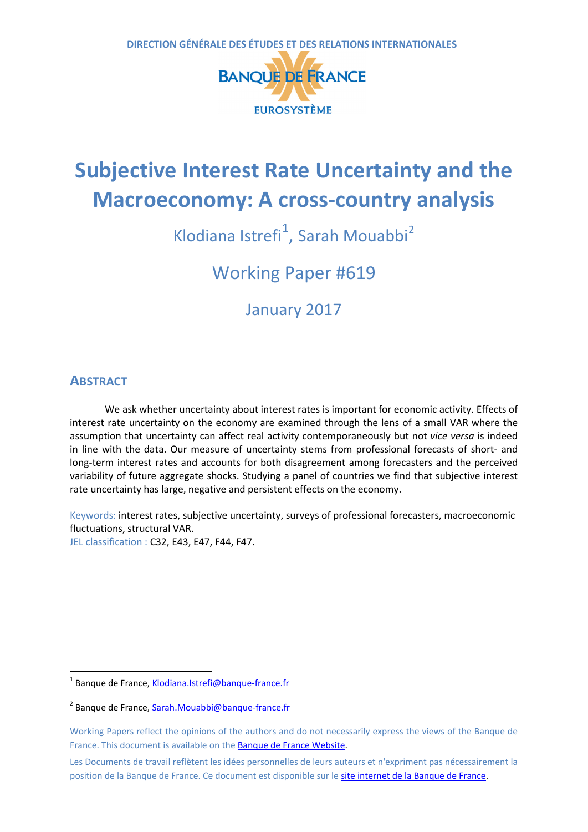

# **Subjective Interest Rate Uncertainty and the Macroeconomy: A cross-country analysis**

# Klodiana Istrefi<sup>[1](#page-0-0)</sup>, Sarah Mouabbi<sup>[2](#page-0-1)</sup>

Working Paper #619

January 2017

## **ABSTRACT**

<span id="page-0-2"></span> $\overline{a}$ 

We ask whether uncertainty about interest rates is important for economic activity. Effects of interest rate uncertainty on the economy are examined through the lens of a small VAR where the assumption that uncertainty can affect real activity contemporaneously but not *vice versa* is indeed in line with the data. Our measure of uncertainty stems from professional forecasts of short- and long-term interest rates and accounts for both disagreement among forecasters and the perceived variability of future aggregate shocks. Studying a panel of countries we find that subjective interest rate uncertainty has large, negative and persistent effects on the economy.

Keywords: interest rates, subjective uncertainty, surveys of professional forecasters, macroeconomic fluctuations, structural VAR. JEL classification : C32, E43, E47, F44, F47.

<span id="page-0-0"></span><sup>&</sup>lt;sup>1</sup> Banque de France, [Klodiana.Istrefi@banque-france.fr](mailto:Klodiana.Istrefi@banque-france.fr)

<span id="page-0-1"></span><sup>&</sup>lt;sup>2</sup> Banque de France, [Sarah.Mouabbi@banque-france.fr](mailto:Sarah.Mouabbi@banque-france.fr)

Working Papers reflect the opinions of the authors and do not necessarily express the views of the Banque de France. This document is available on the [Banque de France Website.](https://www.banque-france.fr/en)

Les Documents de travail reflètent les idées personnelles de leurs auteurs et n'expriment pas nécessairement la position de la Banque de France. Ce document est disponible sur le [site internet de la Banque de France.](http://www.banque-france.fr/)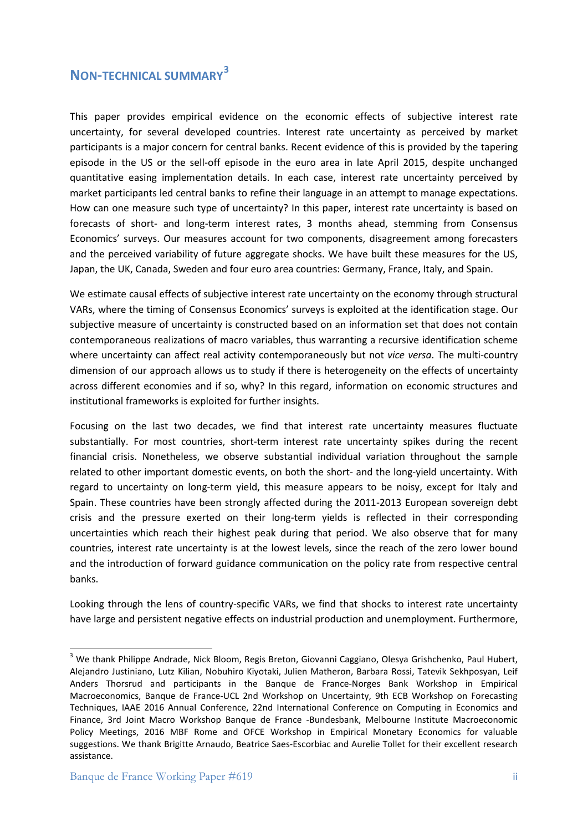# **NON-TECHNICAL SUMMARY[3](#page-0-2)**

This paper provides empirical evidence on the economic effects of subjective interest rate uncertainty, for several developed countries. Interest rate uncertainty as perceived by market participants is a major concern for central banks. Recent evidence of this is provided by the tapering episode in the US or the sell-off episode in the euro area in late April 2015, despite unchanged quantitative easing implementation details. In each case, interest rate uncertainty perceived by market participants led central banks to refine their language in an attempt to manage expectations. How can one measure such type of uncertainty? In this paper, interest rate uncertainty is based on forecasts of short- and long-term interest rates, 3 months ahead, stemming from Consensus Economics' surveys. Our measures account for two components, disagreement among forecasters and the perceived variability of future aggregate shocks. We have built these measures for the US, Japan, the UK, Canada, Sweden and four euro area countries: Germany, France, Italy, and Spain.

We estimate causal effects of subjective interest rate uncertainty on the economy through structural VARs, where the timing of Consensus Economics' surveys is exploited at the identification stage. Our subjective measure of uncertainty is constructed based on an information set that does not contain contemporaneous realizations of macro variables, thus warranting a recursive identification scheme where uncertainty can affect real activity contemporaneously but not *vice versa*. The multi-country dimension of our approach allows us to study if there is heterogeneity on the effects of uncertainty across different economies and if so, why? In this regard, information on economic structures and institutional frameworks is exploited for further insights.

Focusing on the last two decades, we find that interest rate uncertainty measures fluctuate substantially. For most countries, short-term interest rate uncertainty spikes during the recent financial crisis. Nonetheless, we observe substantial individual variation throughout the sample related to other important domestic events, on both the short- and the long-yield uncertainty. With regard to uncertainty on long-term yield, this measure appears to be noisy, except for Italy and Spain. These countries have been strongly affected during the 2011-2013 European sovereign debt crisis and the pressure exerted on their long-term yields is reflected in their corresponding uncertainties which reach their highest peak during that period. We also observe that for many countries, interest rate uncertainty is at the lowest levels, since the reach of the zero lower bound and the introduction of forward guidance communication on the policy rate from respective central banks.

Looking through the lens of country-specific VARs, we find that shocks to interest rate uncertainty have large and persistent negative effects on industrial production and unemployment. Furthermore,

<sup>&</sup>lt;sup>3</sup> We thank Philippe Andrade, Nick Bloom, Regis Breton, Giovanni Caggiano, Olesya Grishchenko, Paul Hubert, Alejandro Justiniano, Lutz Kilian, Nobuhiro Kiyotaki, Julien Matheron, Barbara Rossi, Tatevik Sekhposyan, Leif Anders Thorsrud and participants in the Banque de France-Norges Bank Workshop in Empirical Macroeconomics, Banque de France-UCL 2nd Workshop on Uncertainty, 9th ECB Workshop on Forecasting Techniques, IAAE 2016 Annual Conference, 22nd International Conference on Computing in Economics and Finance, 3rd Joint Macro Workshop Banque de France -Bundesbank, Melbourne Institute Macroeconomic Policy Meetings, 2016 MBF Rome and OFCE Workshop in Empirical Monetary Economics for valuable suggestions. We thank Brigitte Arnaudo, Beatrice Saes-Escorbiac and Aurelie Tollet for their excellent research assistance.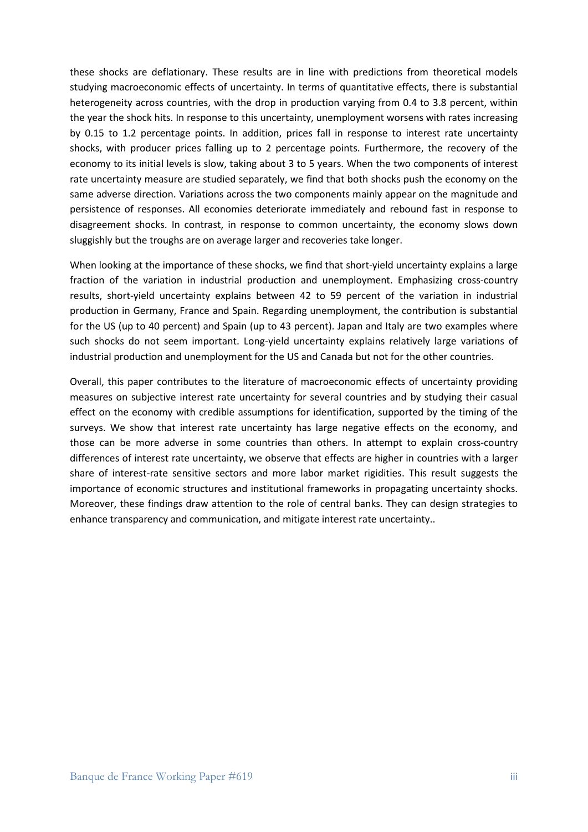these shocks are deflationary. These results are in line with predictions from theoretical models studying macroeconomic effects of uncertainty. In terms of quantitative effects, there is substantial heterogeneity across countries, with the drop in production varying from 0.4 to 3.8 percent, within the year the shock hits. In response to this uncertainty, unemployment worsens with rates increasing by 0.15 to 1.2 percentage points. In addition, prices fall in response to interest rate uncertainty shocks, with producer prices falling up to 2 percentage points. Furthermore, the recovery of the economy to its initial levels is slow, taking about 3 to 5 years. When the two components of interest rate uncertainty measure are studied separately, we find that both shocks push the economy on the same adverse direction. Variations across the two components mainly appear on the magnitude and persistence of responses. All economies deteriorate immediately and rebound fast in response to disagreement shocks. In contrast, in response to common uncertainty, the economy slows down sluggishly but the troughs are on average larger and recoveries take longer.

When looking at the importance of these shocks, we find that short-yield uncertainty explains a large fraction of the variation in industrial production and unemployment. Emphasizing cross-country results, short-yield uncertainty explains between 42 to 59 percent of the variation in industrial production in Germany, France and Spain. Regarding unemployment, the contribution is substantial for the US (up to 40 percent) and Spain (up to 43 percent). Japan and Italy are two examples where such shocks do not seem important. Long-yield uncertainty explains relatively large variations of industrial production and unemployment for the US and Canada but not for the other countries.

Overall, this paper contributes to the literature of macroeconomic effects of uncertainty providing measures on subjective interest rate uncertainty for several countries and by studying their casual effect on the economy with credible assumptions for identification, supported by the timing of the surveys. We show that interest rate uncertainty has large negative effects on the economy, and those can be more adverse in some countries than others. In attempt to explain cross-country differences of interest rate uncertainty, we observe that effects are higher in countries with a larger share of interest-rate sensitive sectors and more labor market rigidities. This result suggests the importance of economic structures and institutional frameworks in propagating uncertainty shocks. Moreover, these findings draw attention to the role of central banks. They can design strategies to enhance transparency and communication, and mitigate interest rate uncertainty..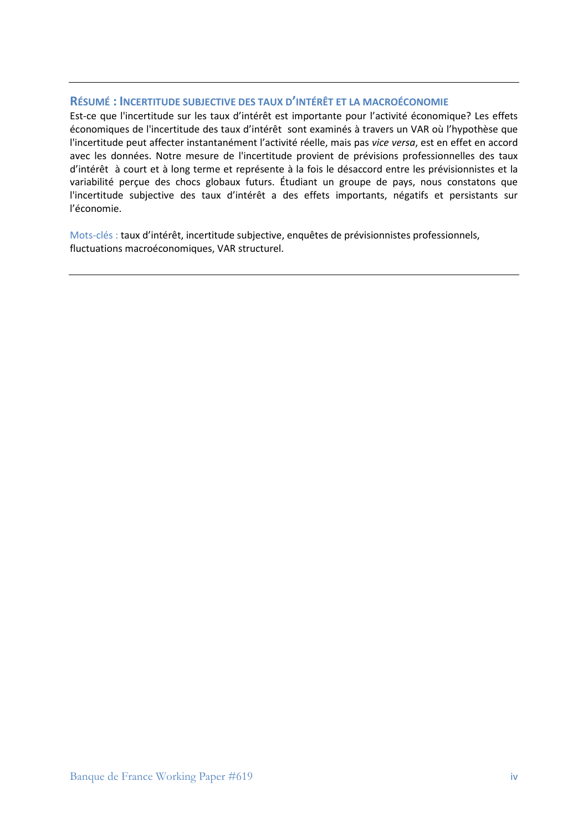#### **RÉSUMÉ : INCERTITUDE SUBJECTIVE DES TAUX D'INTÉRÊT ET LA MACROÉCONOMIE**

Est-ce que l'incertitude sur les taux d'intérêt est importante pour l'activité économique? Les effets économiques de l'incertitude des taux d'intérêt sont examinés à travers un VAR où l'hypothèse que l'incertitude peut affecter instantanément l'activité réelle, mais pas *vice versa*, est en effet en accord avec les données. Notre mesure de l'incertitude provient de prévisions professionnelles des taux d'intérêt à court et à long terme et représente à la fois le désaccord entre les prévisionnistes et la variabilité perçue des chocs globaux futurs. Étudiant un groupe de pays, nous constatons que l'incertitude subjective des taux d'intérêt a des effets importants, négatifs et persistants sur l'économie.

Mots-clés : taux d'intérêt, incertitude subjective, enquêtes de prévisionnistes professionnels, fluctuations macroéconomiques, VAR structurel.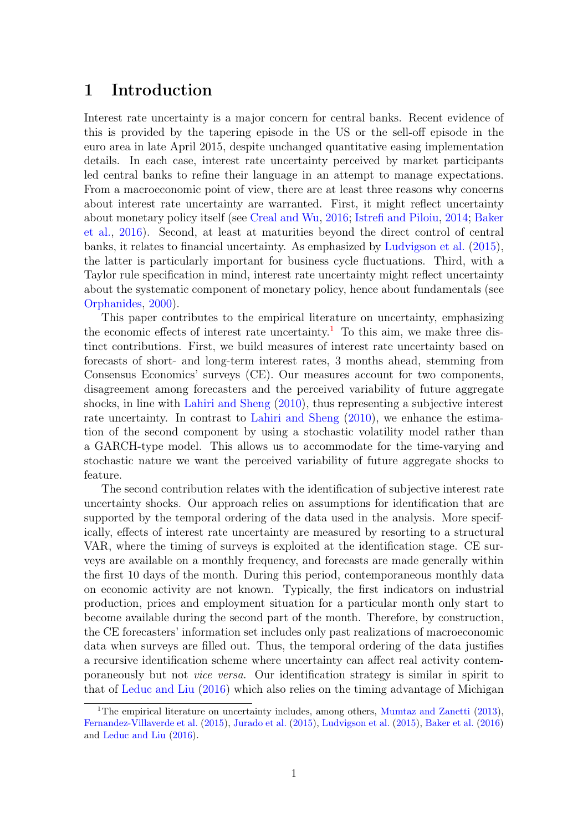## <span id="page-4-0"></span>1 Introduction

Interest rate uncertainty is a major concern for central banks. Recent evidence of this is provided by the tapering episode in the US or the sell-off episode in the euro area in late April 2015, despite unchanged quantitative easing implementation details. In each case, interest rate uncertainty perceived by market participants led central banks to refine their language in an attempt to manage expectations. From a macroeconomic point of view, there are at least three reasons why concerns about interest rate uncertainty are warranted. First, it might reflect uncertainty about monetary policy itself (see [Creal and Wu,](#page-24-0) [2016;](#page-24-0) [Istrefi and Piloiu,](#page-25-0) [2014;](#page-25-0) [Baker](#page-24-1) [et al.,](#page-24-1) [2016\)](#page-24-1). Second, at least at maturities beyond the direct control of central banks, it relates to financial uncertainty. As emphasized by [Ludvigson et al.](#page-25-1) [\(2015\)](#page-25-1), the latter is particularly important for business cycle fluctuations. Third, with a Taylor rule specification in mind, interest rate uncertainty might reflect uncertainty about the systematic component of monetary policy, hence about fundamentals (see [Orphanides,](#page-25-2) [2000\)](#page-25-2).

This paper contributes to the empirical literature on uncertainty, emphasizing the economic effects of interest rate uncertainty.<sup>1</sup> To this aim, we make three distinct contributions. First, we build measures of interest rate uncertainty based on forecasts of short- and long-term interest rates, 3 months ahead, stemming from Consensus Economics' surveys (CE). Our measures account for two components, disagreement among forecasters and the perceived variability of future aggregate shocks, in line with [Lahiri and Sheng](#page-25-3) [\(2010\)](#page-25-3), thus representing a subjective interest rate uncertainty. In contrast to [Lahiri and Sheng](#page-25-3) [\(2010\)](#page-25-3), we enhance the estimation of the second component by using a stochastic volatility model rather than a GARCH-type model. This allows us to accommodate for the time-varying and stochastic nature we want the perceived variability of future aggregate shocks to feature.

The second contribution relates with the identification of subjective interest rate uncertainty shocks. Our approach relies on assumptions for identification that are supported by the temporal ordering of the data used in the analysis. More specifically, effects of interest rate uncertainty are measured by resorting to a structural VAR, where the timing of surveys is exploited at the identification stage. CE surveys are available on a monthly frequency, and forecasts are made generally within the first 10 days of the month. During this period, contemporaneous monthly data on economic activity are not known. Typically, the first indicators on industrial production, prices and employment situation for a particular month only start to become available during the second part of the month. Therefore, by construction, the CE forecasters' information set includes only past realizations of macroeconomic data when surveys are filled out. Thus, the temporal ordering of the data justifies a recursive identification scheme where uncertainty can affect real activity contemporaneously but not vice versa. Our identification strategy is similar in spirit to that of [Leduc and Liu](#page-25-4) [\(2016\)](#page-25-4) which also relies on the timing advantage of Michigan

<sup>&</sup>lt;sup>1</sup>The empirical literature on uncertainty includes, among others, [Mumtaz and Zanetti](#page-25-5) [\(2013\)](#page-25-5), [Fernandez-Villaverde et al.](#page-24-2) [\(2015\)](#page-24-2), [Jurado et al.](#page-25-6) [\(2015\)](#page-25-6), [Ludvigson et al.](#page-25-1) [\(2015\)](#page-25-1), [Baker et al.](#page-24-1) [\(2016\)](#page-24-1) and [Leduc and Liu](#page-25-4) [\(2016\)](#page-25-4).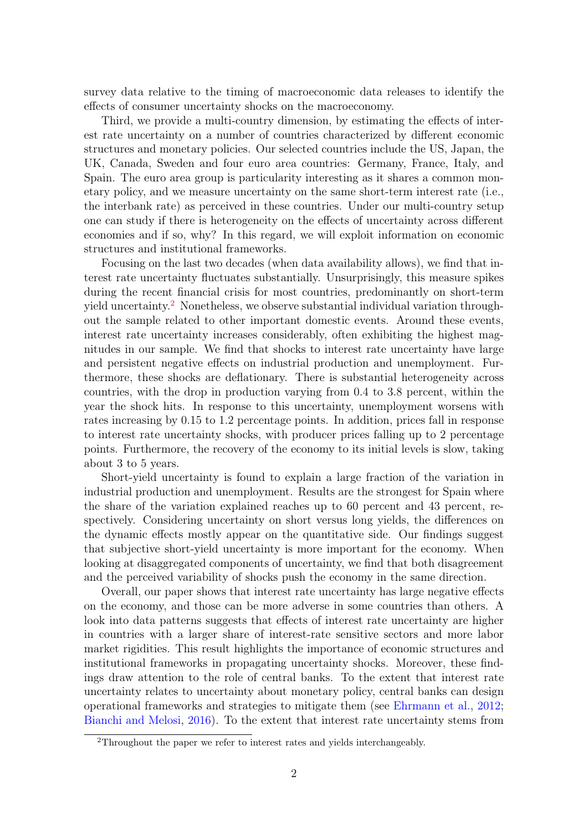survey data relative to the timing of macroeconomic data releases to identify the effects of consumer uncertainty shocks on the macroeconomy.

Third, we provide a multi-country dimension, by estimating the effects of interest rate uncertainty on a number of countries characterized by different economic structures and monetary policies. Our selected countries include the US, Japan, the UK, Canada, Sweden and four euro area countries: Germany, France, Italy, and Spain. The euro area group is particularity interesting as it shares a common monetary policy, and we measure uncertainty on the same short-term interest rate (i.e., the interbank rate) as perceived in these countries. Under our multi-country setup one can study if there is heterogeneity on the effects of uncertainty across different economies and if so, why? In this regard, we will exploit information on economic structures and institutional frameworks.

Focusing on the last two decades (when data availability allows), we find that interest rate uncertainty fluctuates substantially. Unsurprisingly, this measure spikes during the recent financial crisis for most countries, predominantly on short-term yield uncertainty.[2](#page-4-0) Nonetheless, we observe substantial individual variation throughout the sample related to other important domestic events. Around these events, interest rate uncertainty increases considerably, often exhibiting the highest magnitudes in our sample. We find that shocks to interest rate uncertainty have large and persistent negative effects on industrial production and unemployment. Furthermore, these shocks are deflationary. There is substantial heterogeneity across countries, with the drop in production varying from 0.4 to 3.8 percent, within the year the shock hits. In response to this uncertainty, unemployment worsens with rates increasing by 0.15 to 1.2 percentage points. In addition, prices fall in response to interest rate uncertainty shocks, with producer prices falling up to 2 percentage points. Furthermore, the recovery of the economy to its initial levels is slow, taking about 3 to 5 years.

Short-yield uncertainty is found to explain a large fraction of the variation in industrial production and unemployment. Results are the strongest for Spain where the share of the variation explained reaches up to 60 percent and 43 percent, respectively. Considering uncertainty on short versus long yields, the differences on the dynamic effects mostly appear on the quantitative side. Our findings suggest that subjective short-yield uncertainty is more important for the economy. When looking at disaggregated components of uncertainty, we find that both disagreement and the perceived variability of shocks push the economy in the same direction.

Overall, our paper shows that interest rate uncertainty has large negative effects on the economy, and those can be more adverse in some countries than others. A look into data patterns suggests that effects of interest rate uncertainty are higher in countries with a larger share of interest-rate sensitive sectors and more labor market rigidities. This result highlights the importance of economic structures and institutional frameworks in propagating uncertainty shocks. Moreover, these findings draw attention to the role of central banks. To the extent that interest rate uncertainty relates to uncertainty about monetary policy, central banks can design operational frameworks and strategies to mitigate them (see [Ehrmann et al.,](#page-24-3) [2012;](#page-24-3) [Bianchi and Melosi,](#page-24-4) [2016\)](#page-24-4). To the extent that interest rate uncertainty stems from

<sup>2</sup>Throughout the paper we refer to interest rates and yields interchangeably.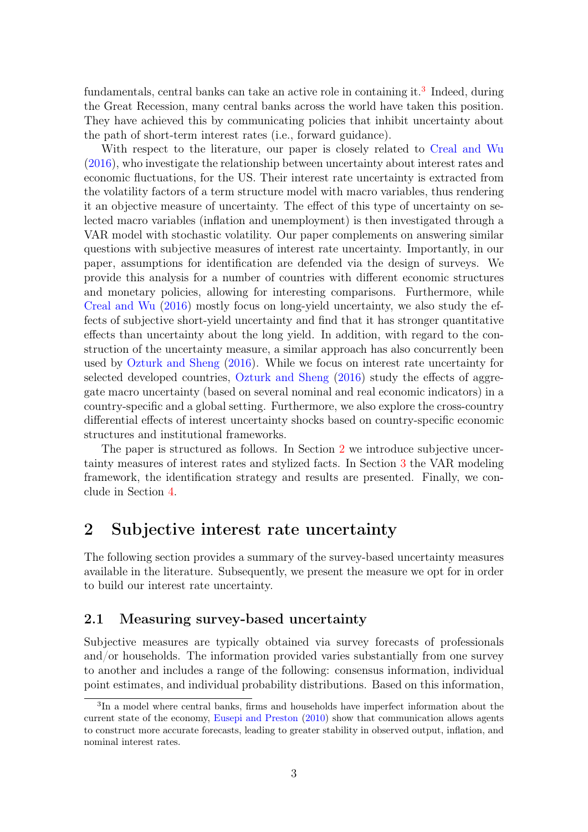fundamentals, central banks can take an active role in containing it.<sup>[3](#page-4-0)</sup> Indeed, during the Great Recession, many central banks across the world have taken this position. They have achieved this by communicating policies that inhibit uncertainty about the path of short-term interest rates (i.e., forward guidance).

With respect to the literature, our paper is closely related to [Creal and Wu](#page-24-0) [\(2016\)](#page-24-0), who investigate the relationship between uncertainty about interest rates and economic fluctuations, for the US. Their interest rate uncertainty is extracted from the volatility factors of a term structure model with macro variables, thus rendering it an objective measure of uncertainty. The effect of this type of uncertainty on selected macro variables (inflation and unemployment) is then investigated through a VAR model with stochastic volatility. Our paper complements on answering similar questions with subjective measures of interest rate uncertainty. Importantly, in our paper, assumptions for identification are defended via the design of surveys. We provide this analysis for a number of countries with different economic structures and monetary policies, allowing for interesting comparisons. Furthermore, while [Creal and Wu](#page-24-0) [\(2016\)](#page-24-0) mostly focus on long-yield uncertainty, we also study the effects of subjective short-yield uncertainty and find that it has stronger quantitative effects than uncertainty about the long yield. In addition, with regard to the construction of the uncertainty measure, a similar approach has also concurrently been used by [Ozturk and Sheng](#page-25-7) [\(2016\)](#page-25-7). While we focus on interest rate uncertainty for selected developed countries, [Ozturk and Sheng](#page-25-7) [\(2016\)](#page-25-7) study the effects of aggregate macro uncertainty (based on several nominal and real economic indicators) in a country-specific and a global setting. Furthermore, we also explore the cross-country differential effects of interest uncertainty shocks based on country-specific economic structures and institutional frameworks.

The paper is structured as follows. In Section [2](#page-6-0) we introduce subjective uncertainty measures of interest rates and stylized facts. In Section [3](#page-13-0) the VAR modeling framework, the identification strategy and results are presented. Finally, we conclude in Section [4.](#page-23-0)

## <span id="page-6-0"></span>2 Subjective interest rate uncertainty

The following section provides a summary of the survey-based uncertainty measures available in the literature. Subsequently, we present the measure we opt for in order to build our interest rate uncertainty.

#### 2.1 Measuring survey-based uncertainty

Subjective measures are typically obtained via survey forecasts of professionals and/or households. The information provided varies substantially from one survey to another and includes a range of the following: consensus information, individual point estimates, and individual probability distributions. Based on this information,

<sup>3</sup> In a model where central banks, firms and households have imperfect information about the current state of the economy, [Eusepi and Preston](#page-24-5) [\(2010\)](#page-24-5) show that communication allows agents to construct more accurate forecasts, leading to greater stability in observed output, inflation, and nominal interest rates.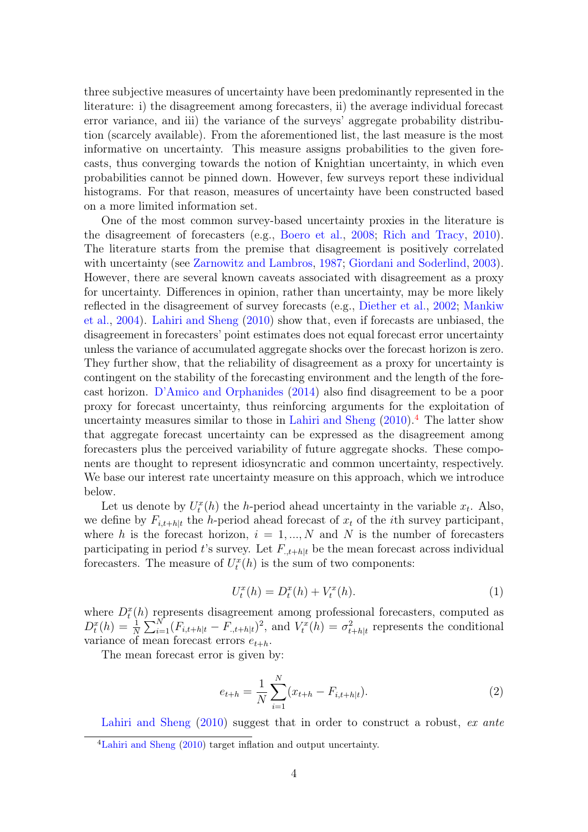three subjective measures of uncertainty have been predominantly represented in the literature: i) the disagreement among forecasters, ii) the average individual forecast error variance, and iii) the variance of the surveys' aggregate probability distribution (scarcely available). From the aforementioned list, the last measure is the most informative on uncertainty. This measure assigns probabilities to the given forecasts, thus converging towards the notion of Knightian uncertainty, in which even probabilities cannot be pinned down. However, few surveys report these individual histograms. For that reason, measures of uncertainty have been constructed based on a more limited information set.

One of the most common survey-based uncertainty proxies in the literature is the disagreement of forecasters (e.g., [Boero et al.,](#page-24-6) [2008;](#page-24-6) [Rich and Tracy,](#page-25-8) [2010\)](#page-25-8). The literature starts from the premise that disagreement is positively correlated with uncertainty (see [Zarnowitz and Lambros,](#page-26-0) [1987;](#page-26-0) [Giordani and Soderlind,](#page-25-9) [2003\)](#page-25-9). However, there are several known caveats associated with disagreement as a proxy for uncertainty. Differences in opinion, rather than uncertainty, may be more likely reflected in the disagreement of survey forecasts (e.g., [Diether et al.,](#page-24-7) [2002;](#page-24-7) [Mankiw](#page-25-10) [et al.,](#page-25-10) [2004\)](#page-25-10). [Lahiri and Sheng](#page-25-3) [\(2010\)](#page-25-3) show that, even if forecasts are unbiased, the disagreement in forecasters' point estimates does not equal forecast error uncertainty unless the variance of accumulated aggregate shocks over the forecast horizon is zero. They further show, that the reliability of disagreement as a proxy for uncertainty is contingent on the stability of the forecasting environment and the length of the forecast horizon. [D'Amico and Orphanides](#page-24-8) [\(2014\)](#page-24-8) also find disagreement to be a poor proxy for forecast uncertainty, thus reinforcing arguments for the exploitation of uncertainty measures similar to those in [Lahiri and Sheng](#page-25-3)  $(2010).4$  $(2010).4$  $(2010).4$  The latter show that aggregate forecast uncertainty can be expressed as the disagreement among forecasters plus the perceived variability of future aggregate shocks. These components are thought to represent idiosyncratic and common uncertainty, respectively. We base our interest rate uncertainty measure on this approach, which we introduce below.

Let us denote by  $U_t^x(h)$  the h-period ahead uncertainty in the variable  $x_t$ . Also, we define by  $F_{i,t+h|t}$  the h-period ahead forecast of  $x_t$  of the *i*th survey participant, where h is the forecast horizon,  $i = 1, ..., N$  and N is the number of forecasters participating in period t's survey. Let  $F_{.t+h|t}$  be the mean forecast across individual forecasters. The measure of  $U_t^x(h)$  is the sum of two components:

$$
U_t^x(h) = D_t^x(h) + V_t^x(h).
$$
 (1)

<span id="page-7-0"></span>where  $D_t^x(h)$  represents disagreement among professional forecasters, computed as  $D_t^x(h) = \frac{1}{N} \sum_{i=1}^N (F_{i,t+h|t} - F_{.,t+h|t})^2$ , and  $V_t^x(h) = \sigma_{t+h|t}^2$  represents the conditional variance of mean forecast errors  $e_{t+h}$ .

The mean forecast error is given by:

$$
e_{t+h} = \frac{1}{N} \sum_{i=1}^{N} (x_{t+h} - F_{i,t+h|t}).
$$
\n(2)

[Lahiri and Sheng](#page-25-3) [\(2010\)](#page-25-3) suggest that in order to construct a robust, ex ante

<sup>4</sup>[Lahiri and Sheng](#page-25-3) [\(2010\)](#page-25-3) target inflation and output uncertainty.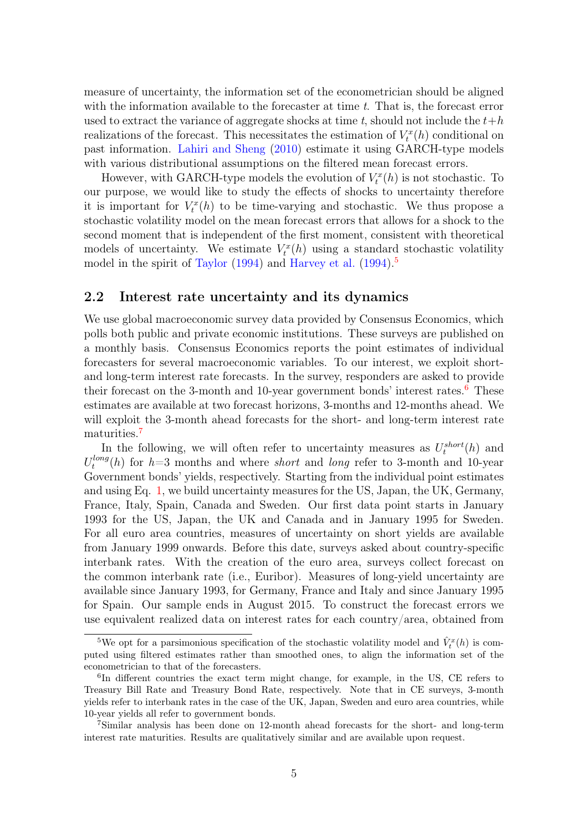measure of uncertainty, the information set of the econometrician should be aligned with the information available to the forecaster at time  $t$ . That is, the forecast error used to extract the variance of aggregate shocks at time t, should not include the  $t+h$ realizations of the forecast. This necessitates the estimation of  $V_t^x(h)$  conditional on past information. [Lahiri and Sheng](#page-25-3) [\(2010\)](#page-25-3) estimate it using GARCH-type models with various distributional assumptions on the filtered mean forecast errors.

However, with GARCH-type models the evolution of  $V_t^x(h)$  is not stochastic. To our purpose, we would like to study the effects of shocks to uncertainty therefore it is important for  $V_t^x(h)$  to be time-varying and stochastic. We thus propose a stochastic volatility model on the mean forecast errors that allows for a shock to the second moment that is independent of the first moment, consistent with theoretical models of uncertainty. We estimate  $V_t^x(h)$  using a standard stochastic volatility model in the spirit of [Taylor](#page-25-11) [\(1994\)](#page-25-12) and [Harvey et al.](#page-25-12) (1994).<sup>[5](#page-4-0)</sup>

#### 2.2 Interest rate uncertainty and its dynamics

We use global macroeconomic survey data provided by Consensus Economics, which polls both public and private economic institutions. These surveys are published on a monthly basis. Consensus Economics reports the point estimates of individual forecasters for several macroeconomic variables. To our interest, we exploit shortand long-term interest rate forecasts. In the survey, responders are asked to provide their forecast on the 3-month and 10-year government bonds' interest rates.<sup>[6](#page-4-0)</sup> These estimates are available at two forecast horizons, 3-months and 12-months ahead. We will exploit the 3-month ahead forecasts for the short- and long-term interest rate maturities.[7](#page-4-0)

In the following, we will often refer to uncertainty measures as  $U_t^{short}(h)$  and  $U_t^{long}$  $t^{long}(h)$  for  $h=3$  months and where *short* and *long* refer to 3-month and 10-year Government bonds' yields, respectively. Starting from the individual point estimates and using Eq. [1,](#page-7-0) we build uncertainty measures for the US, Japan, the UK, Germany, France, Italy, Spain, Canada and Sweden. Our first data point starts in January 1993 for the US, Japan, the UK and Canada and in January 1995 for Sweden. For all euro area countries, measures of uncertainty on short yields are available from January 1999 onwards. Before this date, surveys asked about country-specific interbank rates. With the creation of the euro area, surveys collect forecast on the common interbank rate (i.e., Euribor). Measures of long-yield uncertainty are available since January 1993, for Germany, France and Italy and since January 1995 for Spain. Our sample ends in August 2015. To construct the forecast errors we use equivalent realized data on interest rates for each country/area, obtained from

<sup>&</sup>lt;sup>5</sup>We opt for a parsimonious specification of the stochastic volatility model and  $\hat{V}_t^x(h)$  is computed using filtered estimates rather than smoothed ones, to align the information set of the econometrician to that of the forecasters.

<sup>&</sup>lt;sup>6</sup>In different countries the exact term might change, for example, in the US, CE refers to Treasury Bill Rate and Treasury Bond Rate, respectively. Note that in CE surveys, 3-month yields refer to interbank rates in the case of the UK, Japan, Sweden and euro area countries, while 10-year yields all refer to government bonds.

<sup>7</sup>Similar analysis has been done on 12-month ahead forecasts for the short- and long-term interest rate maturities. Results are qualitatively similar and are available upon request.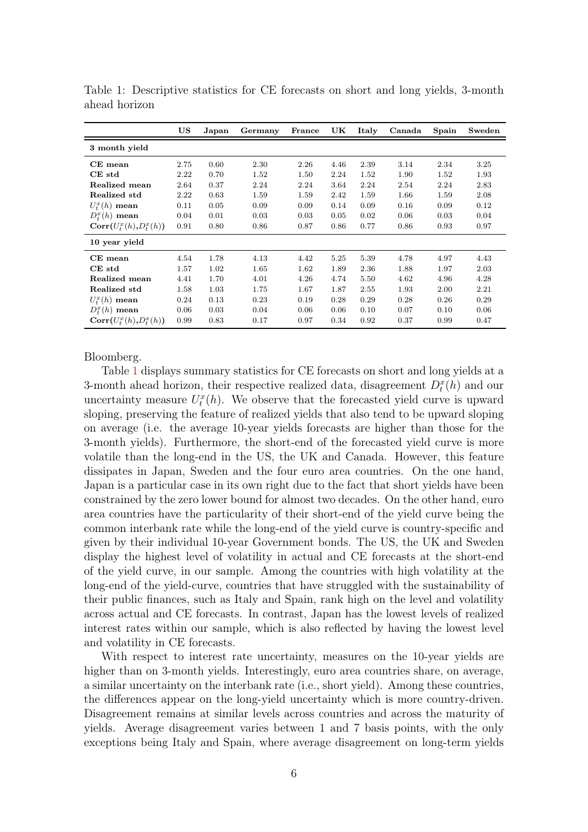|                           | US   | Japan | Germany | France | UK   | Italy | Canada | Spain | Sweden |
|---------------------------|------|-------|---------|--------|------|-------|--------|-------|--------|
| 3 month yield             |      |       |         |        |      |       |        |       |        |
| CE mean                   | 2.75 | 0.60  | 2.30    | 2.26   | 4.46 | 2.39  | 3.14   | 2.34  | 3.25   |
| CE std                    | 2.22 | 0.70  | 1.52    | 1.50   | 2.24 | 1.52  | 1.90   | 1.52  | 1.93   |
| Realized mean             | 2.64 | 0.37  | 2.24    | 2.24   | 3.64 | 2.24  | 2.54   | 2.24  | 2.83   |
| Realized std              | 2.22 | 0.63  | 1.59    | 1.59   | 2.42 | 1.59  | 1.66   | 1.59  | 2.08   |
| $U_t^x(h)$ mean           | 0.11 | 0.05  | 0.09    | 0.09   | 0.14 | 0.09  | 0.16   | 0.09  | 0.12   |
| $D_{\mu}^{x}(h)$ mean     | 0.04 | 0.01  | 0.03    | 0.03   | 0.05 | 0.02  | 0.06   | 0.03  | 0.04   |
| $Corr(U^x_t(h),D^x_t(h))$ | 0.91 | 0.80  | 0.86    | 0.87   | 0.86 | 0.77  | 0.86   | 0.93  | 0.97   |
| 10 year yield             |      |       |         |        |      |       |        |       |        |
| $CE$ mean                 | 4.54 | 1.78  | 4.13    | 4.42   | 5.25 | 5.39  | 4.78   | 4.97  | 4.43   |
| CE std                    | 1.57 | 1.02  | 1.65    | 1.62   | 1.89 | 2.36  | 1.88   | 1.97  | 2.03   |
| Realized mean             | 4.41 | 1.70  | 4.01    | 4.26   | 4.74 | 5.50  | 4.62   | 4.96  | 4.28   |
| Realized std              | 1.58 | 1.03  | 1.75    | 1.67   | 1.87 | 2.55  | 1.93   | 2.00  | 2.21   |
| $U_t^x(h)$ mean           | 0.24 | 0.13  | 0.23    | 0.19   | 0.28 | 0.29  | 0.28   | 0.26  | 0.29   |
| $D_t^x(h)$ mean           | 0.06 | 0.03  | 0.04    | 0.06   | 0.06 | 0.10  | 0.07   | 0.10  | 0.06   |
| $Corr(U_t^x(h),D_t^x(h))$ | 0.99 | 0.83  | 0.17    | 0.97   | 0.34 | 0.92  | 0.37   | 0.99  | 0.47   |

<span id="page-9-0"></span>Table 1: Descriptive statistics for CE forecasts on short and long yields, 3-month ahead horizon

Bloomberg.

Table [1](#page-9-0) displays summary statistics for CE forecasts on short and long yields at a 3-month ahead horizon, their respective realized data, disagreement  $D_t^x(h)$  and our uncertainty measure  $U_t^x(h)$ . We observe that the forecasted yield curve is upward sloping, preserving the feature of realized yields that also tend to be upward sloping on average (i.e. the average 10-year yields forecasts are higher than those for the 3-month yields). Furthermore, the short-end of the forecasted yield curve is more volatile than the long-end in the US, the UK and Canada. However, this feature dissipates in Japan, Sweden and the four euro area countries. On the one hand, Japan is a particular case in its own right due to the fact that short yields have been constrained by the zero lower bound for almost two decades. On the other hand, euro area countries have the particularity of their short-end of the yield curve being the common interbank rate while the long-end of the yield curve is country-specific and given by their individual 10-year Government bonds. The US, the UK and Sweden display the highest level of volatility in actual and CE forecasts at the short-end of the yield curve, in our sample. Among the countries with high volatility at the long-end of the yield-curve, countries that have struggled with the sustainability of their public finances, such as Italy and Spain, rank high on the level and volatility across actual and CE forecasts. In contrast, Japan has the lowest levels of realized interest rates within our sample, which is also reflected by having the lowest level and volatility in CE forecasts.

With respect to interest rate uncertainty, measures on the 10-year yields are higher than on 3-month yields. Interestingly, euro area countries share, on average, a similar uncertainty on the interbank rate (i.e., short yield). Among these countries, the differences appear on the long-yield uncertainty which is more country-driven. Disagreement remains at similar levels across countries and across the maturity of yields. Average disagreement varies between 1 and 7 basis points, with the only exceptions being Italy and Spain, where average disagreement on long-term yields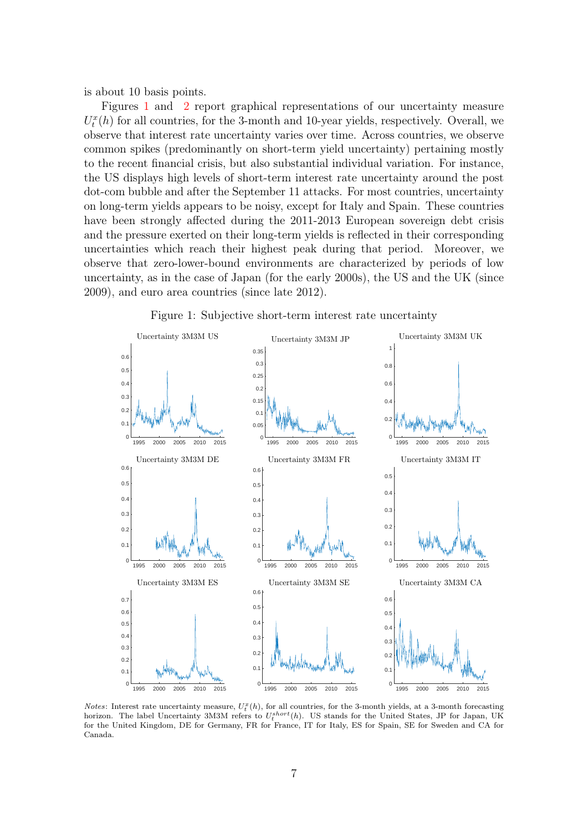is about 10 basis points.

Figures [1](#page-10-0) and [2](#page-11-0) report graphical representations of our uncertainty measure  $U_t^x(h)$  for all countries, for the 3-month and 10-year yields, respectively. Overall, we observe that interest rate uncertainty varies over time. Across countries, we observe common spikes (predominantly on short-term yield uncertainty) pertaining mostly to the recent financial crisis, but also substantial individual variation. For instance, the US displays high levels of short-term interest rate uncertainty around the post dot-com bubble and after the September 11 attacks. For most countries, uncertainty on long-term yields appears to be noisy, except for Italy and Spain. These countries have been strongly affected during the 2011-2013 European sovereign debt crisis and the pressure exerted on their long-term yields is reflected in their corresponding uncertainties which reach their highest peak during that period. Moreover, we observe that zero-lower-bound environments are characterized by periods of low uncertainty, as in the case of Japan (for the early 2000s), the US and the UK (since 2009), and euro area countries (since late 2012).

<span id="page-10-0"></span>

Figure 1: Subjective short-term interest rate uncertainty

Notes: Interest rate uncertainty measure,  $U_t^x(h)$ , for all countries, for the 3-month yields, at a 3-month forecasting horizon. The label Uncertainty 3M3M refers to  $U_t^{short}(h)$ . US stands for the United States, JP for Japan, UK for the United Kingdom, DE for Germany, FR for France, IT for Italy, ES for Spain, SE for Sweden and CA for Canada.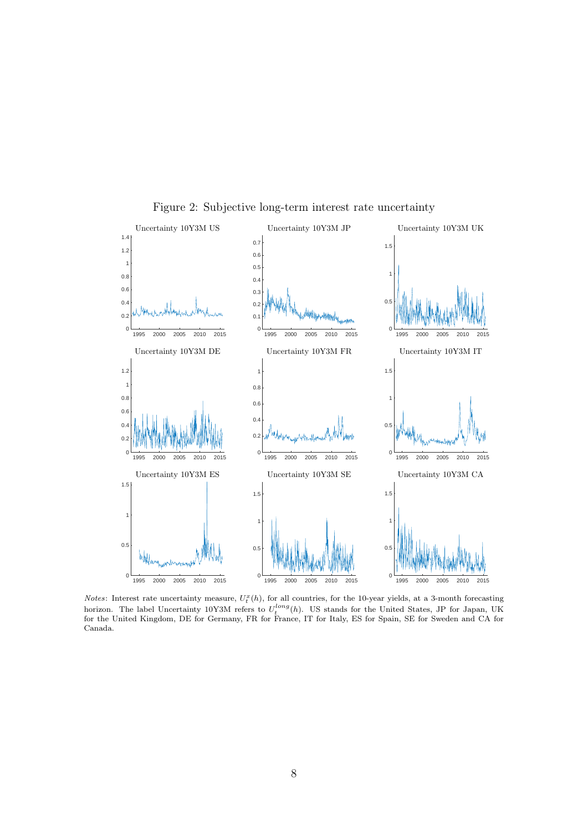<span id="page-11-0"></span>

Figure 2: Subjective long-term interest rate uncertainty

Notes: Interest rate uncertainty measure,  $U_t^x(h)$ , for all countries, for the 10-year yields, at a 3-month forecasting horizon. The label Uncertainty 10Y3M refers to  $U_t^{long}(h)$ . US stands for the United States, JP for Japan, UK for the United Kingdom, DE for Germany, FR for France, IT for Italy, ES for Spain, SE for Sweden and CA for Canada.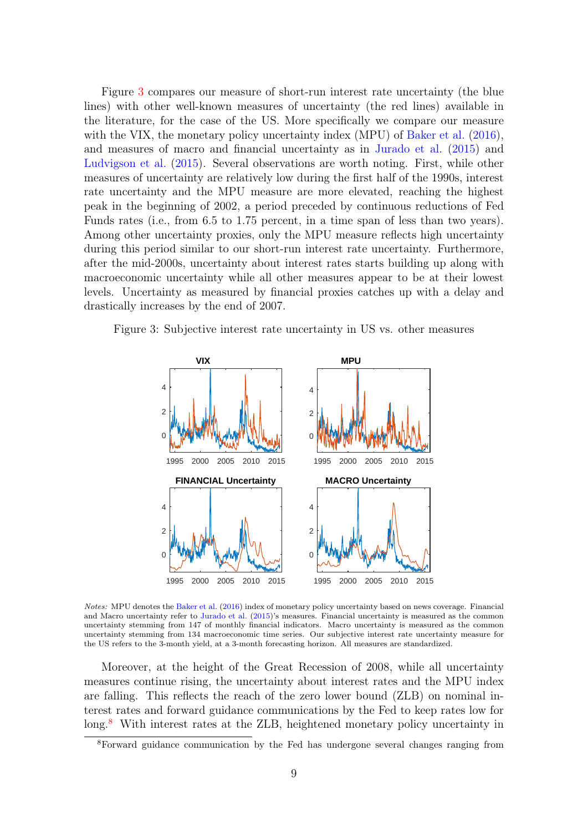Figure [3](#page-12-0) compares our measure of short-run interest rate uncertainty (the blue lines) with other well-known measures of uncertainty (the red lines) available in the literature, for the case of the US. More specifically we compare our measure with the VIX, the monetary policy uncertainty index (MPU) of [Baker et al.](#page-24-1) [\(2016\)](#page-24-1), and measures of macro and financial uncertainty as in [Jurado et al.](#page-25-6) [\(2015\)](#page-25-6) and [Ludvigson et al.](#page-25-1) [\(2015\)](#page-25-1). Several observations are worth noting. First, while other measures of uncertainty are relatively low during the first half of the 1990s, interest rate uncertainty and the MPU measure are more elevated, reaching the highest peak in the beginning of 2002, a period preceded by continuous reductions of Fed Funds rates (i.e., from 6.5 to 1.75 percent, in a time span of less than two years). Among other uncertainty proxies, only the MPU measure reflects high uncertainty during this period similar to our short-run interest rate uncertainty. Furthermore, after the mid-2000s, uncertainty about interest rates starts building up along with macroeconomic uncertainty while all other measures appear to be at their lowest levels. Uncertainty as measured by financial proxies catches up with a delay and drastically increases by the end of 2007.

<span id="page-12-0"></span>Figure 3: Subjective interest rate uncertainty in US vs. other measures



Notes: MPU denotes the [Baker et al.](#page-24-1) [\(2016\)](#page-24-1) index of monetary policy uncertainty based on news coverage. Financial and Macro uncertainty refer to [Jurado et al.](#page-25-6) [\(2015\)](#page-25-6)'s measures. Financial uncertainty is measured as the common uncertainty stemming from 147 of monthly financial indicators. Macro uncertainty is measured as the common uncertainty stemming from 134 macroeconomic time series. Our subjective interest rate uncertainty measure for the US refers to the 3-month yield, at a 3-month forecasting horizon. All measures are standardized.

Moreover, at the height of the Great Recession of 2008, while all uncertainty measures continue rising, the uncertainty about interest rates and the MPU index are falling. This reflects the reach of the zero lower bound (ZLB) on nominal interest rates and forward guidance communications by the Fed to keep rates low for long.<sup>[8](#page-4-0)</sup> With interest rates at the ZLB, heightened monetary policy uncertainty in

<sup>8</sup>Forward guidance communication by the Fed has undergone several changes ranging from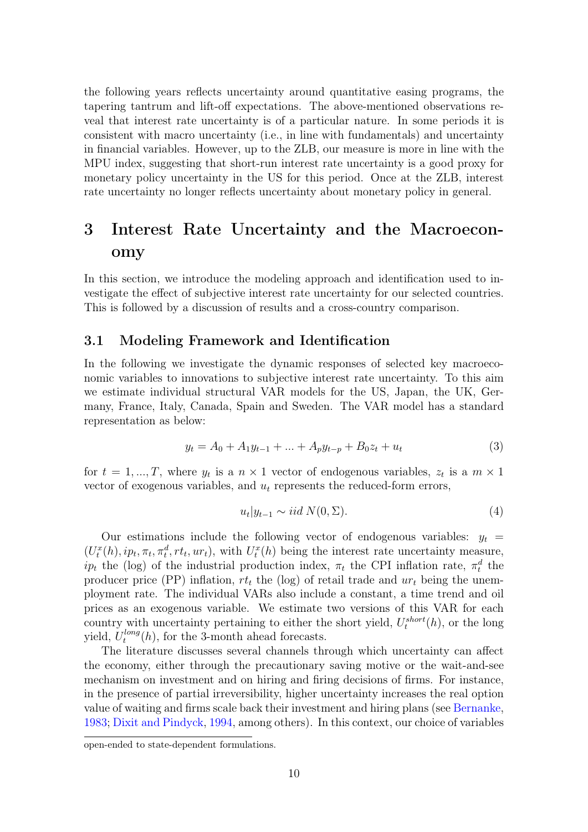the following years reflects uncertainty around quantitative easing programs, the tapering tantrum and lift-off expectations. The above-mentioned observations reveal that interest rate uncertainty is of a particular nature. In some periods it is consistent with macro uncertainty (i.e., in line with fundamentals) and uncertainty in financial variables. However, up to the ZLB, our measure is more in line with the MPU index, suggesting that short-run interest rate uncertainty is a good proxy for monetary policy uncertainty in the US for this period. Once at the ZLB, interest rate uncertainty no longer reflects uncertainty about monetary policy in general.

# <span id="page-13-0"></span>3 Interest Rate Uncertainty and the Macroeconomy

In this section, we introduce the modeling approach and identification used to investigate the effect of subjective interest rate uncertainty for our selected countries. This is followed by a discussion of results and a cross-country comparison.

#### 3.1 Modeling Framework and Identification

In the following we investigate the dynamic responses of selected key macroeconomic variables to innovations to subjective interest rate uncertainty. To this aim we estimate individual structural VAR models for the US, Japan, the UK, Germany, France, Italy, Canada, Spain and Sweden. The VAR model has a standard representation as below:

$$
y_t = A_0 + A_1 y_{t-1} + \dots + A_p y_{t-p} + B_0 z_t + u_t \tag{3}
$$

for  $t = 1, ..., T$ , where  $y_t$  is a  $n \times 1$  vector of endogenous variables,  $z_t$  is a  $m \times 1$ vector of exogenous variables, and  $u_t$  represents the reduced-form errors,

$$
u_t|y_{t-1} \sim iid N(0, \Sigma). \tag{4}
$$

Our estimations include the following vector of endogenous variables:  $y_t =$  $(U_t^x(h), ip_t, \pi_t, \pi_t^d, rt_t, ur_t)$ , with  $U_t^x(h)$  being the interest rate uncertainty measure, ip<sub>t</sub> the (log) of the industrial production index,  $\pi_t$  the CPI inflation rate,  $\pi_t^d$  the producer price (PP) inflation,  $rt_t$  the (log) of retail trade and  $ur_t$  being the unemployment rate. The individual VARs also include a constant, a time trend and oil prices as an exogenous variable. We estimate two versions of this VAR for each country with uncertainty pertaining to either the short yield,  $U_t^{short}(h)$ , or the long yield,  $U_t^{long}$  $t_t^{long}(h)$ , for the 3-month ahead forecasts.

The literature discusses several channels through which uncertainty can affect the economy, either through the precautionary saving motive or the wait-and-see mechanism on investment and on hiring and firing decisions of firms. For instance, in the presence of partial irreversibility, higher uncertainty increases the real option value of waiting and firms scale back their investment and hiring plans (see [Bernanke,](#page-24-9) [1983;](#page-24-9) [Dixit and Pindyck,](#page-24-10) [1994,](#page-24-10) among others). In this context, our choice of variables

open-ended to state-dependent formulations.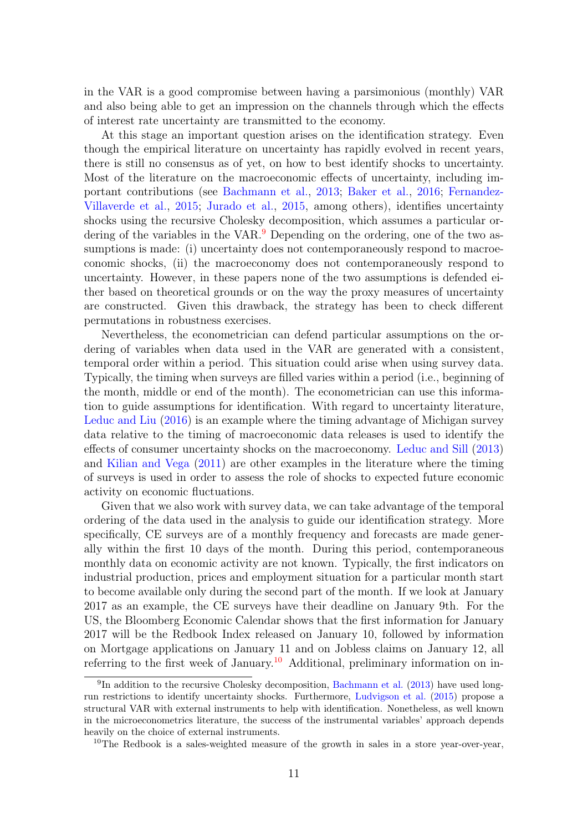in the VAR is a good compromise between having a parsimonious (monthly) VAR and also being able to get an impression on the channels through which the effects of interest rate uncertainty are transmitted to the economy.

At this stage an important question arises on the identification strategy. Even though the empirical literature on uncertainty has rapidly evolved in recent years, there is still no consensus as of yet, on how to best identify shocks to uncertainty. Most of the literature on the macroeconomic effects of uncertainty, including important contributions (see [Bachmann et al.,](#page-24-11) [2013;](#page-24-11) [Baker et al.,](#page-24-1) [2016;](#page-24-1) [Fernandez-](#page-24-2)[Villaverde et al.,](#page-24-2) [2015;](#page-24-2) [Jurado et al.,](#page-25-6) [2015,](#page-25-6) among others), identifies uncertainty shocks using the recursive Cholesky decomposition, which assumes a particular or-dering of the variables in the VAR.<sup>[9](#page-4-0)</sup> Depending on the ordering, one of the two assumptions is made: (i) uncertainty does not contemporaneously respond to macroeconomic shocks, (ii) the macroeconomy does not contemporaneously respond to uncertainty. However, in these papers none of the two assumptions is defended either based on theoretical grounds or on the way the proxy measures of uncertainty are constructed. Given this drawback, the strategy has been to check different permutations in robustness exercises.

Nevertheless, the econometrician can defend particular assumptions on the ordering of variables when data used in the VAR are generated with a consistent, temporal order within a period. This situation could arise when using survey data. Typically, the timing when surveys are filled varies within a period (i.e., beginning of the month, middle or end of the month). The econometrician can use this information to guide assumptions for identification. With regard to uncertainty literature, [Leduc and Liu](#page-25-4) [\(2016\)](#page-25-4) is an example where the timing advantage of Michigan survey data relative to the timing of macroeconomic data releases is used to identify the effects of consumer uncertainty shocks on the macroeconomy. [Leduc and Sill](#page-25-13) [\(2013\)](#page-25-13) and [Kilian and Vega](#page-25-14) [\(2011\)](#page-25-14) are other examples in the literature where the timing of surveys is used in order to assess the role of shocks to expected future economic activity on economic fluctuations.

Given that we also work with survey data, we can take advantage of the temporal ordering of the data used in the analysis to guide our identification strategy. More specifically, CE surveys are of a monthly frequency and forecasts are made generally within the first 10 days of the month. During this period, contemporaneous monthly data on economic activity are not known. Typically, the first indicators on industrial production, prices and employment situation for a particular month start to become available only during the second part of the month. If we look at January 2017 as an example, the CE surveys have their deadline on January 9th. For the US, the Bloomberg Economic Calendar shows that the first information for January 2017 will be the Redbook Index released on January 10, followed by information on Mortgage applications on January 11 and on Jobless claims on January 12, all referring to the first week of January.<sup>[10](#page-4-0)</sup> Additional, preliminary information on in-

<sup>&</sup>lt;sup>9</sup>In addition to the recursive Cholesky decomposition, [Bachmann et al.](#page-24-11) [\(2013\)](#page-24-11) have used longrun restrictions to identify uncertainty shocks. Furthermore, [Ludvigson et al.](#page-25-1) [\(2015\)](#page-25-1) propose a structural VAR with external instruments to help with identification. Nonetheless, as well known in the microeconometrics literature, the success of the instrumental variables' approach depends heavily on the choice of external instruments.

<sup>&</sup>lt;sup>10</sup>The Redbook is a sales-weighted measure of the growth in sales in a store year-over-year,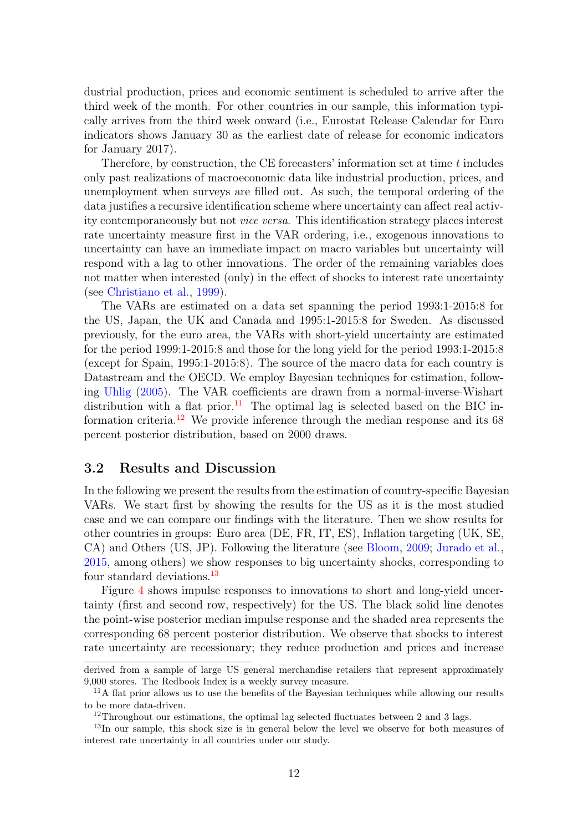dustrial production, prices and economic sentiment is scheduled to arrive after the third week of the month. For other countries in our sample, this information typically arrives from the third week onward (i.e., Eurostat Release Calendar for Euro indicators shows January 30 as the earliest date of release for economic indicators for January 2017).

Therefore, by construction, the CE forecasters' information set at time  $t$  includes only past realizations of macroeconomic data like industrial production, prices, and unemployment when surveys are filled out. As such, the temporal ordering of the data justifies a recursive identification scheme where uncertainty can affect real activity contemporaneously but not vice versa. This identification strategy places interest rate uncertainty measure first in the VAR ordering, i.e., exogenous innovations to uncertainty can have an immediate impact on macro variables but uncertainty will respond with a lag to other innovations. The order of the remaining variables does not matter when interested (only) in the effect of shocks to interest rate uncertainty (see [Christiano et al.,](#page-24-12) [1999\)](#page-24-12).

The VARs are estimated on a data set spanning the period 1993:1-2015:8 for the US, Japan, the UK and Canada and 1995:1-2015:8 for Sweden. As discussed previously, for the euro area, the VARs with short-yield uncertainty are estimated for the period 1999:1-2015:8 and those for the long yield for the period 1993:1-2015:8 (except for Spain, 1995:1-2015:8). The source of the macro data for each country is Datastream and the OECD. We employ Bayesian techniques for estimation, following [Uhlig](#page-25-15) [\(2005\)](#page-25-15). The VAR coefficients are drawn from a normal-inverse-Wishart distribution with a flat prior.<sup>[11](#page-4-0)</sup> The optimal lag is selected based on the BIC in-formation criteria.<sup>[12](#page-4-0)</sup> We provide inference through the median response and its 68 percent posterior distribution, based on 2000 draws.

#### 3.2 Results and Discussion

In the following we present the results from the estimation of country-specific Bayesian VARs. We start first by showing the results for the US as it is the most studied case and we can compare our findings with the literature. Then we show results for other countries in groups: Euro area (DE, FR, IT, ES), Inflation targeting (UK, SE, CA) and Others (US, JP). Following the literature (see [Bloom,](#page-24-13) [2009;](#page-24-13) [Jurado et al.,](#page-25-6) [2015,](#page-25-6) among others) we show responses to big uncertainty shocks, corresponding to four standard deviations.<sup>[13](#page-4-0)</sup>

Figure [4](#page-16-0) shows impulse responses to innovations to short and long-yield uncertainty (first and second row, respectively) for the US. The black solid line denotes the point-wise posterior median impulse response and the shaded area represents the corresponding 68 percent posterior distribution. We observe that shocks to interest rate uncertainty are recessionary; they reduce production and prices and increase

derived from a sample of large US general merchandise retailers that represent approximately 9,000 stores. The Redbook Index is a weekly survey measure.

<sup>&</sup>lt;sup>11</sup>A flat prior allows us to use the benefits of the Bayesian techniques while allowing our results to be more data-driven.

<sup>&</sup>lt;sup>12</sup>Throughout our estimations, the optimal lag selected fluctuates between 2 and 3 lags.

<sup>&</sup>lt;sup>13</sup>In our sample, this shock size is in general below the level we observe for both measures of interest rate uncertainty in all countries under our study.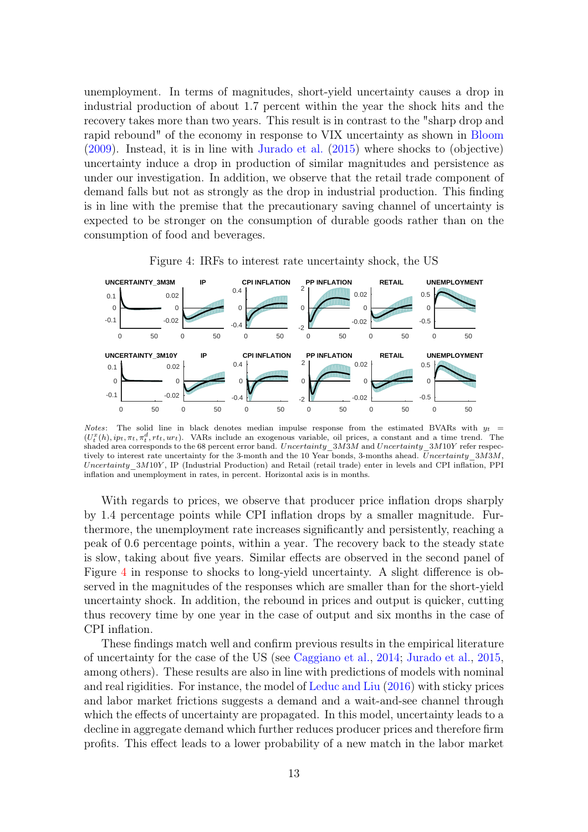unemployment. In terms of magnitudes, short-yield uncertainty causes a drop in industrial production of about 1.7 percent within the year the shock hits and the recovery takes more than two years. This result is in contrast to the "sharp drop and rapid rebound" of the economy in response to VIX uncertainty as shown in [Bloom](#page-24-13) [\(2009\)](#page-24-13). Instead, it is in line with [Jurado et al.](#page-25-6) [\(2015\)](#page-25-6) where shocks to (objective) uncertainty induce a drop in production of similar magnitudes and persistence as under our investigation. In addition, we observe that the retail trade component of demand falls but not as strongly as the drop in industrial production. This finding is in line with the premise that the precautionary saving channel of uncertainty is expected to be stronger on the consumption of durable goods rather than on the consumption of food and beverages.

<span id="page-16-0"></span>

Figure 4: IRFs to interest rate uncertainty shock, the US

Notes: The solid line in black denotes median impulse response from the estimated BVARs with  $y_t$  =  $(U_t^x(h), ip_t, \pi_t, \pi_t^d, rt_t, ur_t)$ . VARs include an exogenous variable, oil prices, a constant and a time trend. The shaded area corresponds to the 68 percent error band. Uncertainty 3M3M and Uncertainty 3M10Y refer respectively to interest rate uncertainty for the 3-month and the 10 Year bonds, 3-months ahead. Uncertainty  $3M3M$ , Uncertainty 3M10Y, IP (Industrial Production) and Retail (retail trade) enter in levels and CPI inflation, PPI inflation and unemployment in rates, in percent. Horizontal axis is in months.

With regards to prices, we observe that producer price inflation drops sharply by 1.4 percentage points while CPI inflation drops by a smaller magnitude. Furthermore, the unemployment rate increases significantly and persistently, reaching a peak of 0.6 percentage points, within a year. The recovery back to the steady state is slow, taking about five years. Similar effects are observed in the second panel of Figure [4](#page-16-0) in response to shocks to long-yield uncertainty. A slight difference is observed in the magnitudes of the responses which are smaller than for the short-yield uncertainty shock. In addition, the rebound in prices and output is quicker, cutting thus recovery time by one year in the case of output and six months in the case of CPI inflation.

These findings match well and confirm previous results in the empirical literature of uncertainty for the case of the US (see [Caggiano et al.,](#page-24-14) [2014;](#page-24-14) [Jurado et al.,](#page-25-6) [2015,](#page-25-6) among others). These results are also in line with predictions of models with nominal and real rigidities. For instance, the model of [Leduc and Liu](#page-25-4) [\(2016\)](#page-25-4) with sticky prices and labor market frictions suggests a demand and a wait-and-see channel through which the effects of uncertainty are propagated. In this model, uncertainty leads to a decline in aggregate demand which further reduces producer prices and therefore firm profits. This effect leads to a lower probability of a new match in the labor market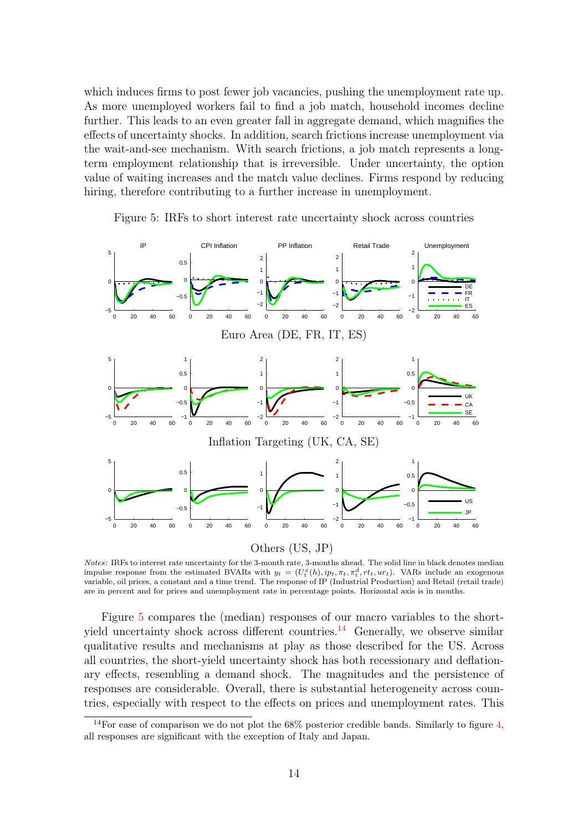which induces firms to post fewer job vacancies, pushing the unemployment rate up. As more unemployed workers fail to find a job match, household incomes decline further. This leads to an even greater fall in aggregate demand, which magnifies the effects of uncertainty shocks. In addition, search frictions increase unemployment via the wait-and-see mechanism. With search frictions, a job match represents a longterm employment relationship that is irreversible. Under uncertainty, the option value of waiting increases and the match value declines. Firms respond by reducing hiring, therefore contributing to a further increase in unemployment.



<span id="page-17-0"></span>Figure 5: IRFs to short interest rate uncertainty shock across countries

Others (US, JP)

Notes: IRFs to interest rate uncertainty for the 3-month rate, 3-months ahead. The solid line in black denotes median impulse response from the estimated BVARs with  $y_t = (U_t^x(h), ip_t, \pi_t, \pi_t^d, rt_t, ur_t)$ . VARs include an exogenous variable, oil prices, a constant and a time trend. The response of IP (Industrial Production) and Retail (retail trade) are in percent and for prices and unemployment rate in percentage points. Horizontal axis is in months.

Figure [5](#page-17-0) compares the (median) responses of our macro variables to the short-yield uncertainty shock across different countries.<sup>[14](#page-4-0)</sup> Generally, we observe similar qualitative results and mechanisms at play as those described for the US. Across all countries, the short-yield uncertainty shock has both recessionary and deflationary effects, resembling a demand shock. The magnitudes and the persistence of responses are considerable. Overall, there is substantial heterogeneity across countries, especially with respect to the effects on prices and unemployment rates. This

<sup>&</sup>lt;sup>14</sup>For ease of comparison we do not plot the  $68\%$  posterior credible bands. Similarly to figure [4,](#page-16-0) all responses are significant with the exception of Italy and Japan.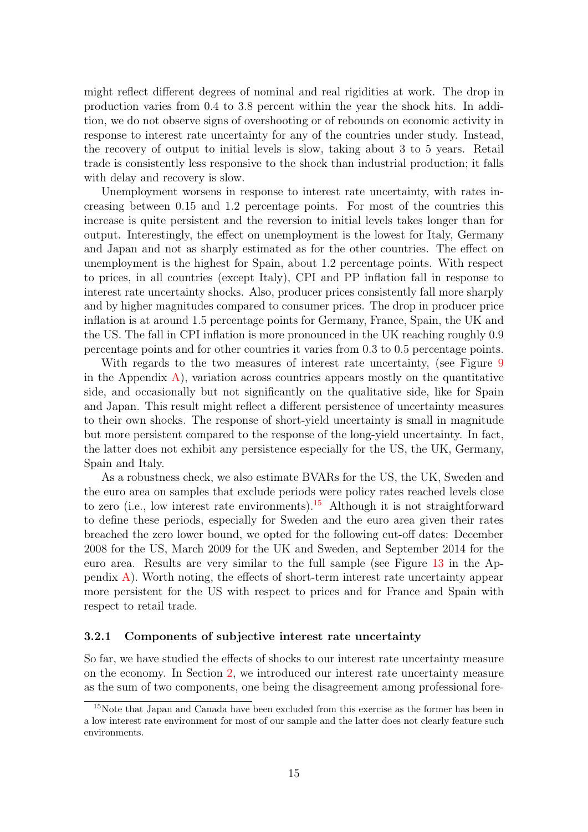might reflect different degrees of nominal and real rigidities at work. The drop in production varies from 0.4 to 3.8 percent within the year the shock hits. In addition, we do not observe signs of overshooting or of rebounds on economic activity in response to interest rate uncertainty for any of the countries under study. Instead, the recovery of output to initial levels is slow, taking about 3 to 5 years. Retail trade is consistently less responsive to the shock than industrial production; it falls with delay and recovery is slow.

Unemployment worsens in response to interest rate uncertainty, with rates increasing between 0.15 and 1.2 percentage points. For most of the countries this increase is quite persistent and the reversion to initial levels takes longer than for output. Interestingly, the effect on unemployment is the lowest for Italy, Germany and Japan and not as sharply estimated as for the other countries. The effect on unemployment is the highest for Spain, about 1.2 percentage points. With respect to prices, in all countries (except Italy), CPI and PP inflation fall in response to interest rate uncertainty shocks. Also, producer prices consistently fall more sharply and by higher magnitudes compared to consumer prices. The drop in producer price inflation is at around 1.5 percentage points for Germany, France, Spain, the UK and the US. The fall in CPI inflation is more pronounced in the UK reaching roughly 0.9 percentage points and for other countries it varies from 0.3 to 0.5 percentage points.

With regards to the two measures of interest rate uncertainty, (see Figure [9](#page-27-0) in the Appendix  $\hat{A}$ , variation across countries appears mostly on the quantitative side, and occasionally but not significantly on the qualitative side, like for Spain and Japan. This result might reflect a different persistence of uncertainty measures to their own shocks. The response of short-yield uncertainty is small in magnitude but more persistent compared to the response of the long-yield uncertainty. In fact, the latter does not exhibit any persistence especially for the US, the UK, Germany, Spain and Italy.

As a robustness check, we also estimate BVARs for the US, the UK, Sweden and the euro area on samples that exclude periods were policy rates reached levels close to zero (i.e., low interest rate environments).<sup>[15](#page-4-0)</sup> Although it is not straightforward to define these periods, especially for Sweden and the euro area given their rates breached the zero lower bound, we opted for the following cut-off dates: December 2008 for the US, March 2009 for the UK and Sweden, and September 2014 for the euro area. Results are very similar to the full sample (see Figure [13](#page-30-0) in the Appendix [A\)](#page-27-1). Worth noting, the effects of short-term interest rate uncertainty appear more persistent for the US with respect to prices and for France and Spain with respect to retail trade.

#### 3.2.1 Components of subjective interest rate uncertainty

So far, we have studied the effects of shocks to our interest rate uncertainty measure on the economy. In Section [2,](#page-6-0) we introduced our interest rate uncertainty measure as the sum of two components, one being the disagreement among professional fore-

<sup>&</sup>lt;sup>15</sup>Note that Japan and Canada have been excluded from this exercise as the former has been in a low interest rate environment for most of our sample and the latter does not clearly feature such environments.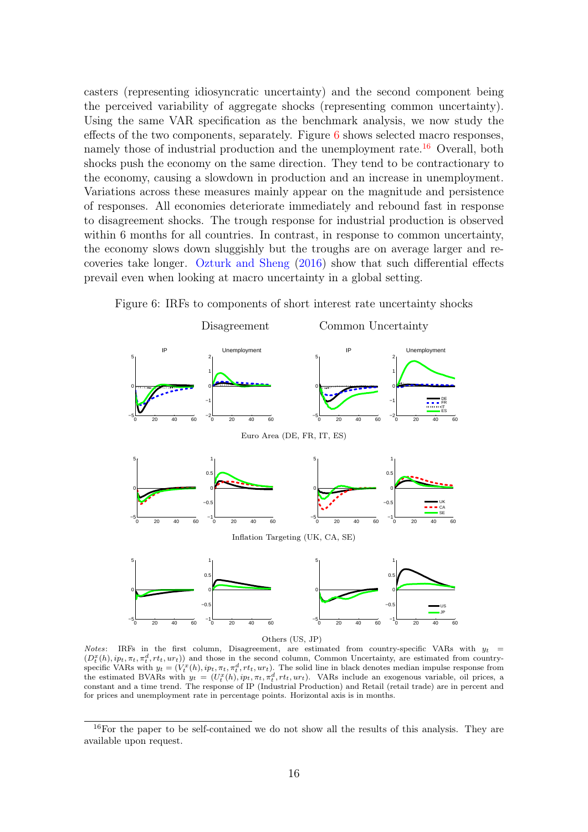casters (representing idiosyncratic uncertainty) and the second component being the perceived variability of aggregate shocks (representing common uncertainty). Using the same VAR specification as the benchmark analysis, we now study the effects of the two components, separately. Figure  $6$  shows selected macro responses, namely those of industrial production and the unemployment rate.<sup>[16](#page-4-0)</sup> Overall, both shocks push the economy on the same direction. They tend to be contractionary to the economy, causing a slowdown in production and an increase in unemployment. Variations across these measures mainly appear on the magnitude and persistence of responses. All economies deteriorate immediately and rebound fast in response to disagreement shocks. The trough response for industrial production is observed within 6 months for all countries. In contrast, in response to common uncertainty, the economy slows down sluggishly but the troughs are on average larger and recoveries take longer. [Ozturk and Sheng](#page-25-7) [\(2016\)](#page-25-7) show that such differential effects prevail even when looking at macro uncertainty in a global setting.



<span id="page-19-0"></span>Figure 6: IRFs to components of short interest rate uncertainty shocks

Notes: IRFs in the first column, Disagreement, are estimated from country-specific VARs with  $y_t$  =  $(D_t^x(h), ip_t, \pi_t, \pi_t^d, rt_t, ur_t))$  and those in the second column, Common Uncertainty, are estimated from countryspecific VARs with  $y_t = (V_t^x(h), ip_t, \pi_t, \pi_t^d, rt_t, ur_t)$ . The solid line in black denotes median impulse response from the estimated BVARs with  $y_t = (U_t^x(h), ip_t, \pi_t, \pi_t^d, rt_t, ur_t)$ . VARs include an exogenous variable, oil prices, a constant and a time trend. The response of IP (Industrial Production) and Retail (retail trade) are in percent and for prices and unemployment rate in percentage points. Horizontal axis is in months.

<sup>16</sup>For the paper to be self-contained we do not show all the results of this analysis. They are available upon request.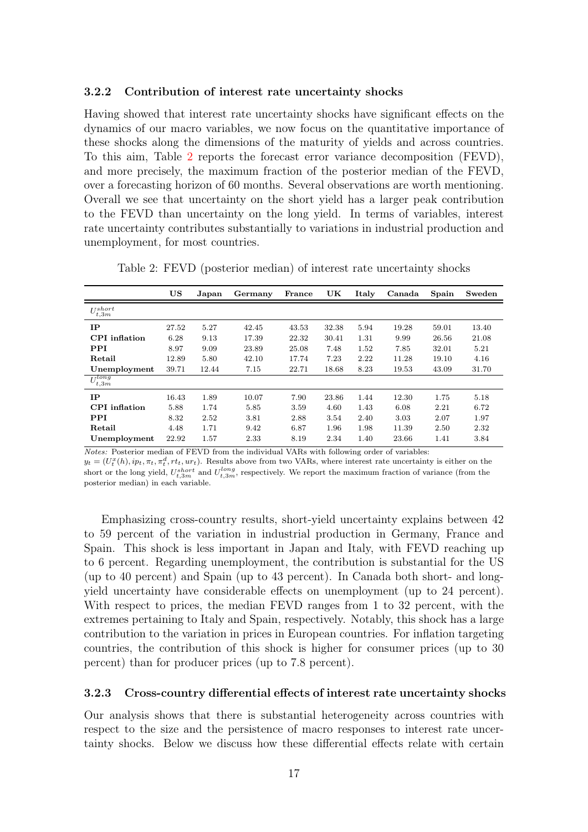#### 3.2.2 Contribution of interest rate uncertainty shocks

Having showed that interest rate uncertainty shocks have significant effects on the dynamics of our macro variables, we now focus on the quantitative importance of these shocks along the dimensions of the maturity of yields and across countries. To this aim, Table [2](#page-20-0) reports the forecast error variance decomposition (FEVD), and more precisely, the maximum fraction of the posterior median of the FEVD, over a forecasting horizon of 60 months. Several observations are worth mentioning. Overall we see that uncertainty on the short yield has a larger peak contribution to the FEVD than uncertainty on the long yield. In terms of variables, interest rate uncertainty contributes substantially to variations in industrial production and unemployment, for most countries.

<span id="page-20-0"></span>

|                                | US    | Japan | Germany | France | UK    | Italy | Canada | Spain | Sweden |
|--------------------------------|-------|-------|---------|--------|-------|-------|--------|-------|--------|
| $U_{t,3m}^{short}$             |       |       |         |        |       |       |        |       |        |
| $_{\rm IP}$                    | 27.52 | 5.27  | 42.45   | 43.53  | 32.38 | 5.94  | 19.28  | 59.01 | 13.40  |
| <b>CPI</b> inflation           | 6.28  | 9.13  | 17.39   | 22.32  | 30.41 | 1.31  | 9.99   | 26.56 | 21.08  |
| <b>PPI</b>                     | 8.97  | 9.09  | 23.89   | 25.08  | 7.48  | 1.52  | 7.85   | 32.01 | 5.21   |
| Retail                         | 12.89 | 5.80  | 42.10   | 17.74  | 7.23  | 2.22  | 11.28  | 19.10 | 4.16   |
| Unemployment                   | 39.71 | 12.44 | 7.15    | 22.71  | 18.68 | 8.23  | 19.53  | 43.09 | 31.70  |
| $U^{l\overline{ong}}$<br>t, 3m |       |       |         |        |       |       |        |       |        |
| $_{\rm IP}$                    | 16.43 | 1.89  | 10.07   | 7.90   | 23.86 | 1.44  | 12.30  | 1.75  | 5.18   |
| <b>CPI</b> inflation           | 5.88  | 1.74  | 5.85    | 3.59   | 4.60  | 1.43  | 6.08   | 2.21  | 6.72   |
| <b>PPI</b>                     | 8.32  | 2.52  | 3.81    | 2.88   | 3.54  | 2.40  | 3.03   | 2.07  | 1.97   |
| Retail                         | 4.48  | 1.71  | 9.42    | 6.87   | 1.96  | 1.98  | 11.39  | 2.50  | 2.32   |
| Unemployment                   | 22.92 | 1.57  | 2.33    | 8.19   | 2.34  | 1.40  | 23.66  | 1.41  | 3.84   |

Table 2: FEVD (posterior median) of interest rate uncertainty shocks

Notes: Posterior median of FEVD from the individual VARs with following order of variables:

 $y_t = (U_t^x(h), ip_t, \pi_t, \pi_t^d, rt_t, wr_t)$ . Results above from two VARs, where interest rate uncertainty is either on the short or the long yield,  $U_{t,3m}^{short}$  and  $U_{t,3m}^{long}$ , respectively. We report the maximum fraction of variance (from the posterior median) in each variable.

Emphasizing cross-country results, short-yield uncertainty explains between 42 to 59 percent of the variation in industrial production in Germany, France and Spain. This shock is less important in Japan and Italy, with FEVD reaching up to 6 percent. Regarding unemployment, the contribution is substantial for the US (up to 40 percent) and Spain (up to 43 percent). In Canada both short- and longyield uncertainty have considerable effects on unemployment (up to 24 percent). With respect to prices, the median FEVD ranges from 1 to 32 percent, with the extremes pertaining to Italy and Spain, respectively. Notably, this shock has a large contribution to the variation in prices in European countries. For inflation targeting countries, the contribution of this shock is higher for consumer prices (up to 30 percent) than for producer prices (up to 7.8 percent).

#### 3.2.3 Cross-country differential effects of interest rate uncertainty shocks

Our analysis shows that there is substantial heterogeneity across countries with respect to the size and the persistence of macro responses to interest rate uncertainty shocks. Below we discuss how these differential effects relate with certain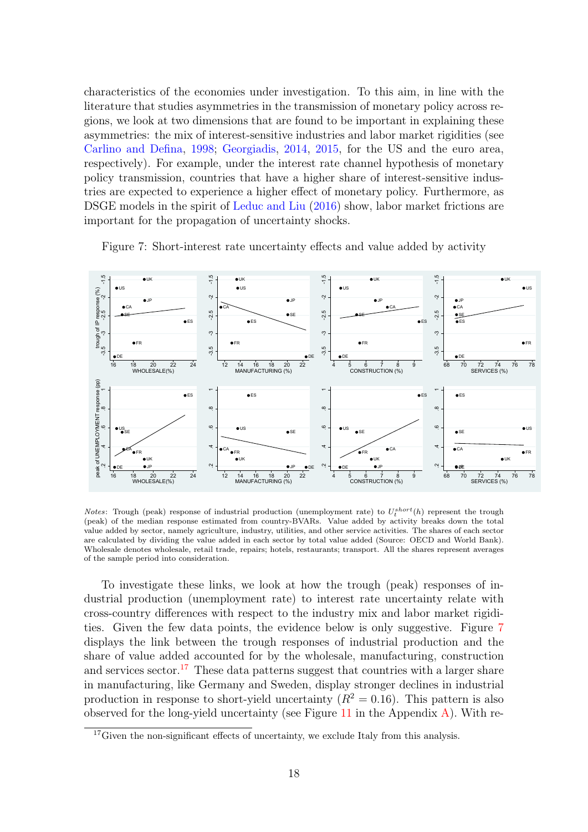characteristics of the economies under investigation. To this aim, in line with the literature that studies asymmetries in the transmission of monetary policy across regions, we look at two dimensions that are found to be important in explaining these asymmetries: the mix of interest-sensitive industries and labor market rigidities (see [Carlino and Defina,](#page-24-15) [1998;](#page-24-15) [Georgiadis,](#page-24-16) [2014,](#page-24-16) [2015,](#page-25-16) for the US and the euro area, respectively). For example, under the interest rate channel hypothesis of monetary policy transmission, countries that have a higher share of interest-sensitive industries are expected to experience a higher effect of monetary policy. Furthermore, as DSGE models in the spirit of [Leduc and Liu](#page-25-4)  $(2016)$  show, labor market frictions are important for the propagation of uncertainty shocks.



<span id="page-21-0"></span>Figure 7: Short-interest rate uncertainty effects and value added by activity

*Notes*: Trough (peak) response of industrial production (unemployment rate) to  $U_t^{short}(h)$  represent the trough (peak) of the median response estimated from country-BVARs. Value added by activity breaks down the total value added by sector, namely agriculture, industry, utilities, and other service activities. The shares of each sector are calculated by dividing the value added in each sector by total value added (Source: OECD and World Bank). Wholesale denotes wholesale, retail trade, repairs; hotels, restaurants; transport. All the shares represent averages of the sample period into consideration.

To investigate these links, we look at how the trough (peak) responses of industrial production (unemployment rate) to interest rate uncertainty relate with cross-country differences with respect to the industry mix and labor market rigidities. Given the few data points, the evidence below is only suggestive. Figure [7](#page-21-0) displays the link between the trough responses of industrial production and the share of value added accounted for by the wholesale, manufacturing, construction and services sector.<sup>[17](#page-4-0)</sup> These data patterns suggest that countries with a larger share in manufacturing, like Germany and Sweden, display stronger declines in industrial production in response to short-yield uncertainty  $(R^2 = 0.16)$ . This pattern is also observed for the long-yield uncertainty (see Figure [11](#page-29-0) in the Appendix  $\bf{A}$ ). With re-

 $17\,\text{Given}$  the non-significant effects of uncertainty, we exclude Italy from this analysis.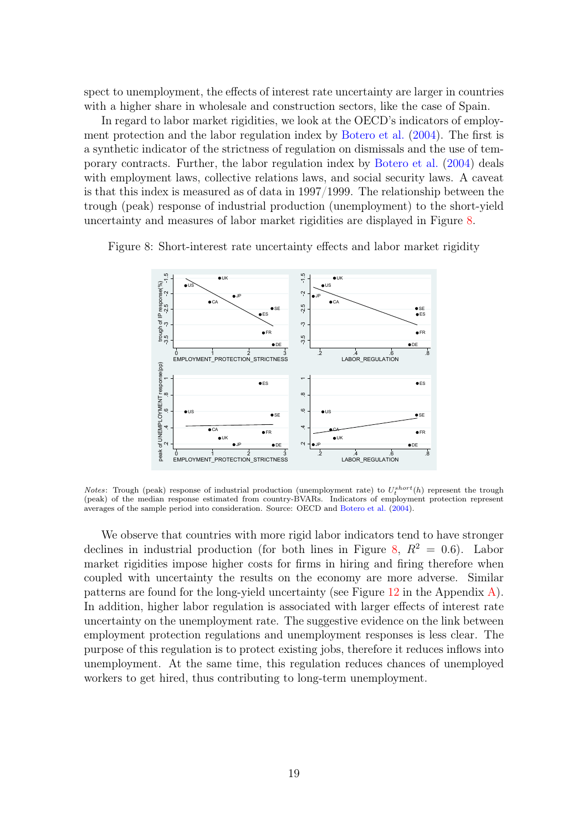spect to unemployment, the effects of interest rate uncertainty are larger in countries with a higher share in wholesale and construction sectors, like the case of Spain.

In regard to labor market rigidities, we look at the OECD's indicators of employment protection and the labor regulation index by [Botero et al.](#page-24-17) [\(2004\)](#page-24-17). The first is a synthetic indicator of the strictness of regulation on dismissals and the use of temporary contracts. Further, the labor regulation index by [Botero et al.](#page-24-17) [\(2004\)](#page-24-17) deals with employment laws, collective relations laws, and social security laws. A caveat is that this index is measured as of data in 1997/1999. The relationship between the trough (peak) response of industrial production (unemployment) to the short-yield uncertainty and measures of labor market rigidities are displayed in Figure [8.](#page-22-0)



<span id="page-22-0"></span>Figure 8: Short-interest rate uncertainty effects and labor market rigidity

*Notes*: Trough (peak) response of industrial production (unemployment rate) to  $U_t^{short}(h)$  represent the trough (peak) of the median response estimated from country-BVARs. Indicators of employment protection represent averages of the sample period into consideration. Source: OECD and [Botero et al.](#page-24-17) [\(2004\)](#page-24-17).

We observe that countries with more rigid labor indicators tend to have stronger declines in industrial production (for both lines in Figure [8,](#page-22-0)  $R^2 = 0.6$ ). Labor market rigidities impose higher costs for firms in hiring and firing therefore when coupled with uncertainty the results on the economy are more adverse. Similar patterns are found for the long-yield uncertainty (see Figure [12](#page-29-1) in the Appendix [A\)](#page-27-1). In addition, higher labor regulation is associated with larger effects of interest rate uncertainty on the unemployment rate. The suggestive evidence on the link between employment protection regulations and unemployment responses is less clear. The purpose of this regulation is to protect existing jobs, therefore it reduces inflows into unemployment. At the same time, this regulation reduces chances of unemployed workers to get hired, thus contributing to long-term unemployment.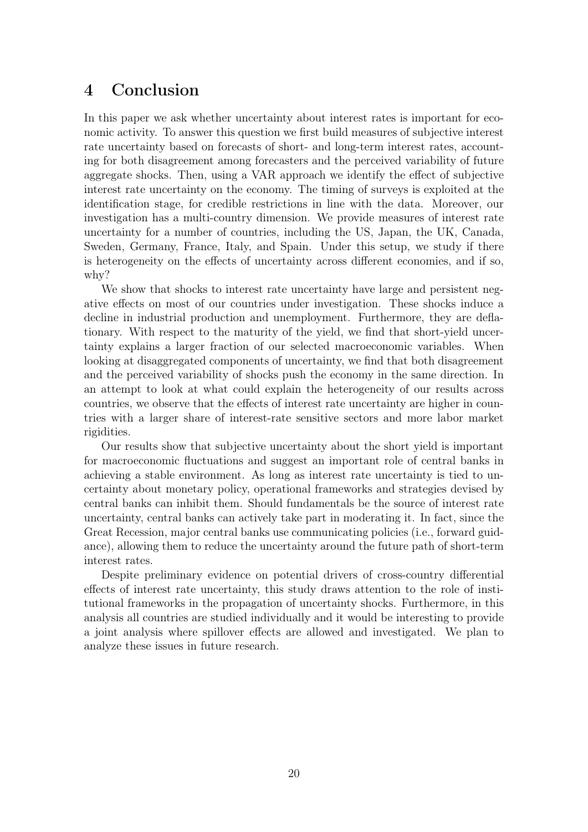## <span id="page-23-0"></span>4 Conclusion

In this paper we ask whether uncertainty about interest rates is important for economic activity. To answer this question we first build measures of subjective interest rate uncertainty based on forecasts of short- and long-term interest rates, accounting for both disagreement among forecasters and the perceived variability of future aggregate shocks. Then, using a VAR approach we identify the effect of subjective interest rate uncertainty on the economy. The timing of surveys is exploited at the identification stage, for credible restrictions in line with the data. Moreover, our investigation has a multi-country dimension. We provide measures of interest rate uncertainty for a number of countries, including the US, Japan, the UK, Canada, Sweden, Germany, France, Italy, and Spain. Under this setup, we study if there is heterogeneity on the effects of uncertainty across different economies, and if so, why?

We show that shocks to interest rate uncertainty have large and persistent negative effects on most of our countries under investigation. These shocks induce a decline in industrial production and unemployment. Furthermore, they are deflationary. With respect to the maturity of the yield, we find that short-yield uncertainty explains a larger fraction of our selected macroeconomic variables. When looking at disaggregated components of uncertainty, we find that both disagreement and the perceived variability of shocks push the economy in the same direction. In an attempt to look at what could explain the heterogeneity of our results across countries, we observe that the effects of interest rate uncertainty are higher in countries with a larger share of interest-rate sensitive sectors and more labor market rigidities.

Our results show that subjective uncertainty about the short yield is important for macroeconomic fluctuations and suggest an important role of central banks in achieving a stable environment. As long as interest rate uncertainty is tied to uncertainty about monetary policy, operational frameworks and strategies devised by central banks can inhibit them. Should fundamentals be the source of interest rate uncertainty, central banks can actively take part in moderating it. In fact, since the Great Recession, major central banks use communicating policies (i.e., forward guidance), allowing them to reduce the uncertainty around the future path of short-term interest rates.

Despite preliminary evidence on potential drivers of cross-country differential effects of interest rate uncertainty, this study draws attention to the role of institutional frameworks in the propagation of uncertainty shocks. Furthermore, in this analysis all countries are studied individually and it would be interesting to provide a joint analysis where spillover effects are allowed and investigated. We plan to analyze these issues in future research.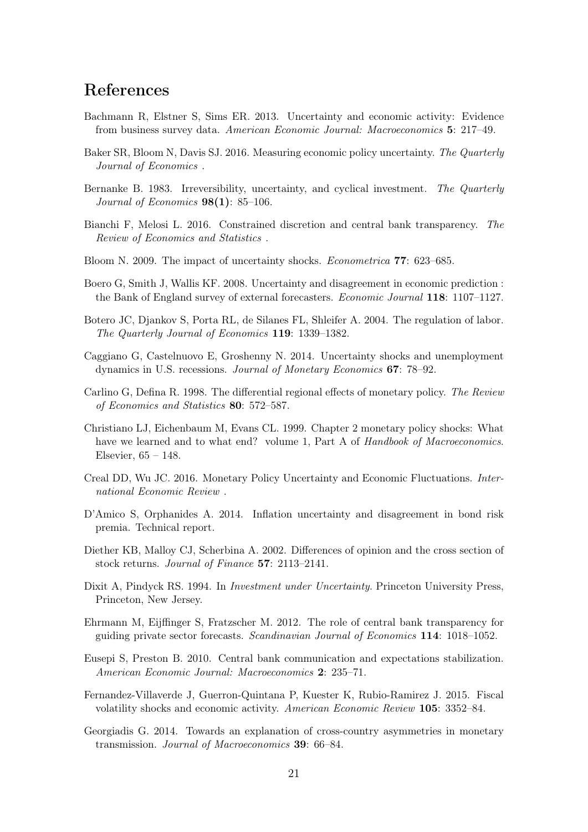## References

- <span id="page-24-11"></span>Bachmann R, Elstner S, Sims ER. 2013. Uncertainty and economic activity: Evidence from business survey data. American Economic Journal: Macroeconomics 5: 217–49.
- <span id="page-24-1"></span>Baker SR, Bloom N, Davis SJ. 2016. Measuring economic policy uncertainty. The Quarterly Journal of Economics .
- <span id="page-24-9"></span>Bernanke B. 1983. Irreversibility, uncertainty, and cyclical investment. The Quarterly Journal of Economics  $98(1)$ : 85-106.
- <span id="page-24-4"></span>Bianchi F, Melosi L. 2016. Constrained discretion and central bank transparency. The Review of Economics and Statistics .
- <span id="page-24-13"></span>Bloom N. 2009. The impact of uncertainty shocks. *Econometrica* 77: 623–685.
- <span id="page-24-6"></span>Boero G, Smith J, Wallis KF. 2008. Uncertainty and disagreement in economic prediction : the Bank of England survey of external forecasters. Economic Journal 118: 1107–1127.
- <span id="page-24-17"></span>Botero JC, Djankov S, Porta RL, de Silanes FL, Shleifer A. 2004. The regulation of labor. The Quarterly Journal of Economics 119: 1339–1382.
- <span id="page-24-14"></span>Caggiano G, Castelnuovo E, Groshenny N. 2014. Uncertainty shocks and unemployment dynamics in U.S. recessions. Journal of Monetary Economics 67: 78–92.
- <span id="page-24-15"></span>Carlino G, Defina R. 1998. The differential regional effects of monetary policy. The Review of Economics and Statistics 80: 572–587.
- <span id="page-24-12"></span>Christiano LJ, Eichenbaum M, Evans CL. 1999. Chapter 2 monetary policy shocks: What have we learned and to what end? volume 1, Part A of Handbook of Macroeconomics. Elsevier, 65 – 148.
- <span id="page-24-0"></span>Creal DD, Wu JC. 2016. Monetary Policy Uncertainty and Economic Fluctuations. International Economic Review .
- <span id="page-24-8"></span>D'Amico S, Orphanides A. 2014. Inflation uncertainty and disagreement in bond risk premia. Technical report.
- <span id="page-24-7"></span>Diether KB, Malloy CJ, Scherbina A. 2002. Differences of opinion and the cross section of stock returns. Journal of Finance 57: 2113–2141.
- <span id="page-24-10"></span>Dixit A, Pindyck RS. 1994. In Investment under Uncertainty. Princeton University Press, Princeton, New Jersey.
- <span id="page-24-3"></span>Ehrmann M, Eijffinger S, Fratzscher M. 2012. The role of central bank transparency for guiding private sector forecasts. Scandinavian Journal of Economics 114: 1018–1052.
- <span id="page-24-5"></span>Eusepi S, Preston B. 2010. Central bank communication and expectations stabilization. American Economic Journal: Macroeconomics 2: 235–71.
- <span id="page-24-2"></span>Fernandez-Villaverde J, Guerron-Quintana P, Kuester K, Rubio-Ramirez J. 2015. Fiscal volatility shocks and economic activity. American Economic Review 105: 3352–84.
- <span id="page-24-16"></span>Georgiadis G. 2014. Towards an explanation of cross-country asymmetries in monetary transmission. Journal of Macroeconomics 39: 66–84.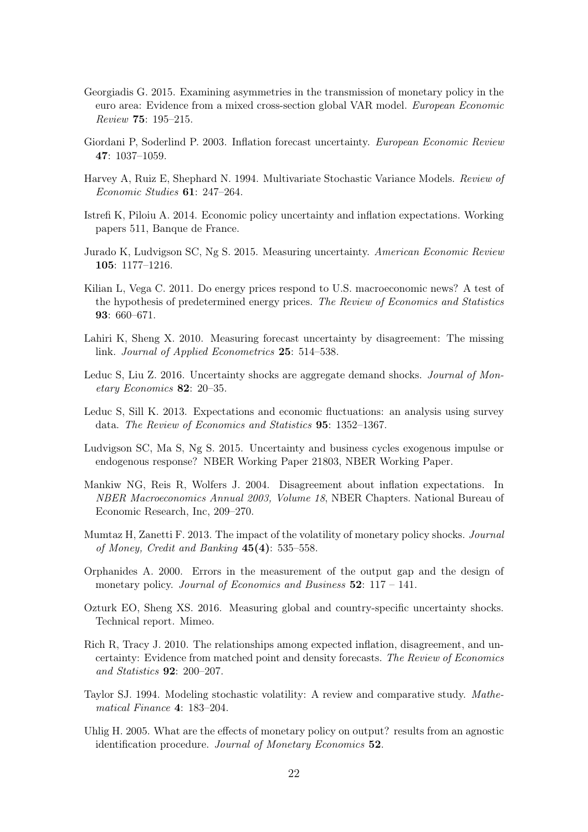- <span id="page-25-16"></span>Georgiadis G. 2015. Examining asymmetries in the transmission of monetary policy in the euro area: Evidence from a mixed cross-section global VAR model. European Economic Review 75: 195–215.
- <span id="page-25-9"></span>Giordani P, Soderlind P. 2003. Inflation forecast uncertainty. European Economic Review 47: 1037–1059.
- <span id="page-25-12"></span>Harvey A, Ruiz E, Shephard N. 1994. Multivariate Stochastic Variance Models. Review of Economic Studies 61: 247–264.
- <span id="page-25-0"></span>Istrefi K, Piloiu A. 2014. Economic policy uncertainty and inflation expectations. Working papers 511, Banque de France.
- <span id="page-25-6"></span>Jurado K, Ludvigson SC, Ng S. 2015. Measuring uncertainty. American Economic Review 105: 1177–1216.
- <span id="page-25-14"></span>Kilian L, Vega C. 2011. Do energy prices respond to U.S. macroeconomic news? A test of the hypothesis of predetermined energy prices. The Review of Economics and Statistics 93: 660–671.
- <span id="page-25-3"></span>Lahiri K, Sheng X. 2010. Measuring forecast uncertainty by disagreement: The missing link. Journal of Applied Econometrics 25: 514–538.
- <span id="page-25-4"></span>Leduc S, Liu Z. 2016. Uncertainty shocks are aggregate demand shocks. Journal of Monetary Economics 82: 20–35.
- <span id="page-25-13"></span>Leduc S, Sill K. 2013. Expectations and economic fluctuations: an analysis using survey data. The Review of Economics and Statistics 95: 1352–1367.
- <span id="page-25-1"></span>Ludvigson SC, Ma S, Ng S. 2015. Uncertainty and business cycles exogenous impulse or endogenous response? NBER Working Paper 21803, NBER Working Paper.
- <span id="page-25-10"></span>Mankiw NG, Reis R, Wolfers J. 2004. Disagreement about inflation expectations. In NBER Macroeconomics Annual 2003, Volume 18, NBER Chapters. National Bureau of Economic Research, Inc, 209–270.
- <span id="page-25-5"></span>Mumtaz H, Zanetti F. 2013. The impact of the volatility of monetary policy shocks. Journal of Money, Credit and Banking  $45(4)$ : 535–558.
- <span id="page-25-2"></span>Orphanides A. 2000. Errors in the measurement of the output gap and the design of monetary policy. Journal of Economics and Business  $52: 117 - 141$ .
- <span id="page-25-7"></span>Ozturk EO, Sheng XS. 2016. Measuring global and country-specific uncertainty shocks. Technical report. Mimeo.
- <span id="page-25-8"></span>Rich R, Tracy J. 2010. The relationships among expected inflation, disagreement, and uncertainty: Evidence from matched point and density forecasts. The Review of Economics and Statistics 92: 200–207.
- <span id="page-25-11"></span>Taylor SJ. 1994. Modeling stochastic volatility: A review and comparative study. Mathematical Finance 4: 183–204.
- <span id="page-25-15"></span>Uhlig H. 2005. What are the effects of monetary policy on output? results from an agnostic identification procedure. Journal of Monetary Economics 52.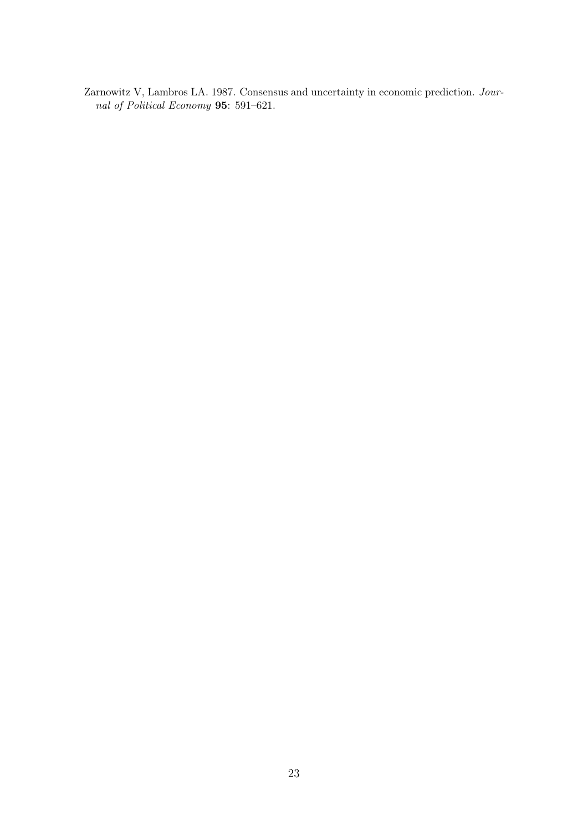<span id="page-26-0"></span>Zarnowitz V, Lambros LA. 1987. Consensus and uncertainty in economic prediction. Journal of Political Economy 95: 591–621.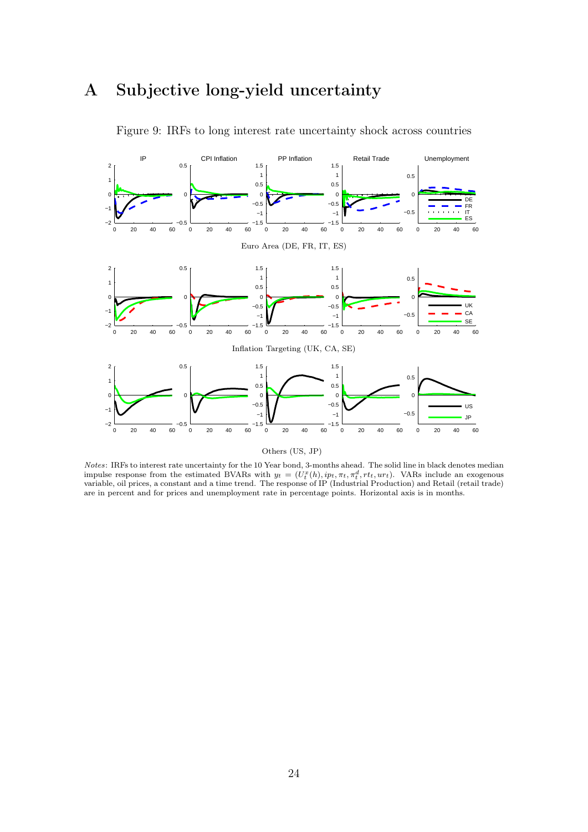# <span id="page-27-1"></span>A Subjective long-yield uncertainty



<span id="page-27-0"></span>Figure 9: IRFs to long interest rate uncertainty shock across countries

Others (US, JP)

Notes: IRFs to interest rate uncertainty for the 10 Year bond, 3-months ahead. The solid line in black denotes median impulse response from the estimated BVARs with  $y_t = (U_t^x(h), ip_t, \pi_t, \pi_t^d, rt_t, ur_t)$ . VARs include an exogenous variable, oil prices, a constant and a time trend. The response of IP (Industrial Production) and Retail (retail trade) are in percent and for prices and unemployment rate in percentage points. Horizontal axis is in months.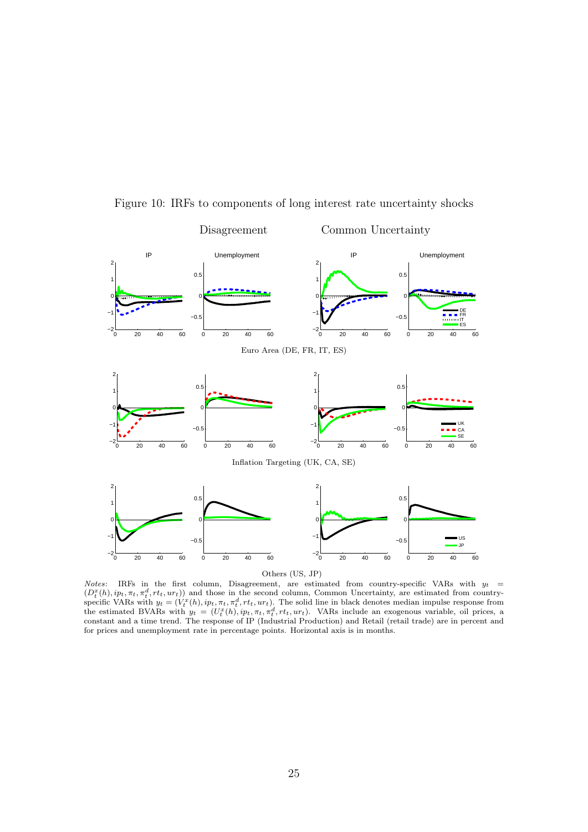

Figure 10: IRFs to components of long interest rate uncertainty shocks

Notes: IRFs in the first column, Disagreement, are estimated from country-specific VARs with  $y_t$  =  $(D_t^x(h), ip_t, \pi_t, \pi_t^d, rt_t, ur_t))$  and those in the second column, Common Uncertainty, are estimated from countryspecific VARs with  $y_t = (V_t^x(h), ip_t, \pi_t, \pi_t^d, rt_t, ur_t)$ . The solid line in black denotes median impulse response from the estimated BVARs with  $y_t = (U_t^x(h), ip_t, \pi_t, \pi_t^d, rt_t, ur_t)$ . VARs include an exogenous variable, oil prices, a constant and a time trend. The response of IP (Industrial Production) and Retail (retail trade) are in percent and for prices and unemployment rate in percentage points. Horizontal axis is in months.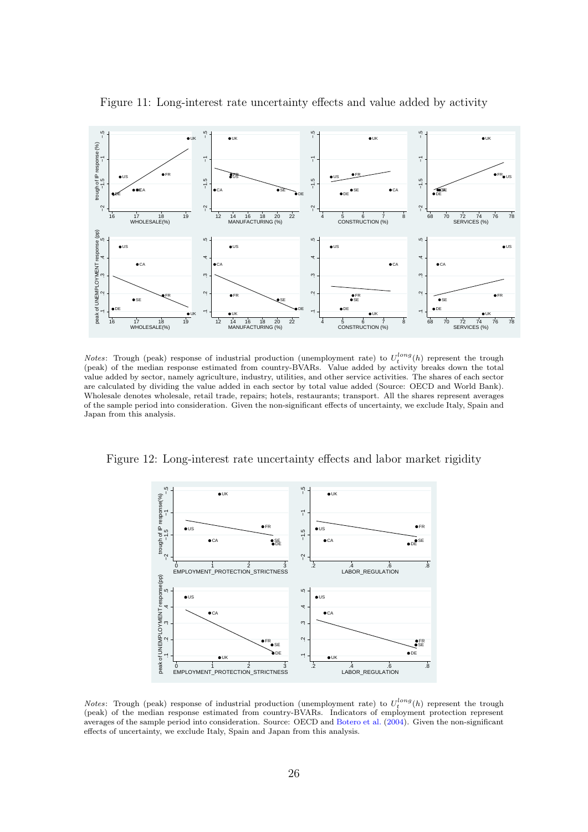

<span id="page-29-0"></span>Figure 11: Long-interest rate uncertainty effects and value added by activity

*Notes*: Trough (peak) response of industrial production (unemployment rate) to  $U_t^{long}(h)$  represent the trough (peak) of the median response estimated from country-BVARs. Value added by activity breaks down the total value added by sector, namely agriculture, industry, utilities, and other service activities. The shares of each sector are calculated by dividing the value added in each sector by total value added (Source: OECD and World Bank). Wholesale denotes wholesale, retail trade, repairs; hotels, restaurants; transport. All the shares represent averages of the sample period into consideration. Given the non-significant effects of uncertainty, we exclude Italy, Spain and Japan from this analysis.

<span id="page-29-1"></span>Figure 12: Long-interest rate uncertainty effects and labor market rigidity



*Notes*: Trough (peak) response of industrial production (unemployment rate) to  $U_t^{long}(h)$  represent the trough (peak) of the median response estimated from country-BVARs. Indicators of employment protection represent averages of the sample period into consideration. Source: OECD and [Botero et al.](#page-24-17) [\(2004\)](#page-24-17). Given the non-significant effects of uncertainty, we exclude Italy, Spain and Japan from this analysis.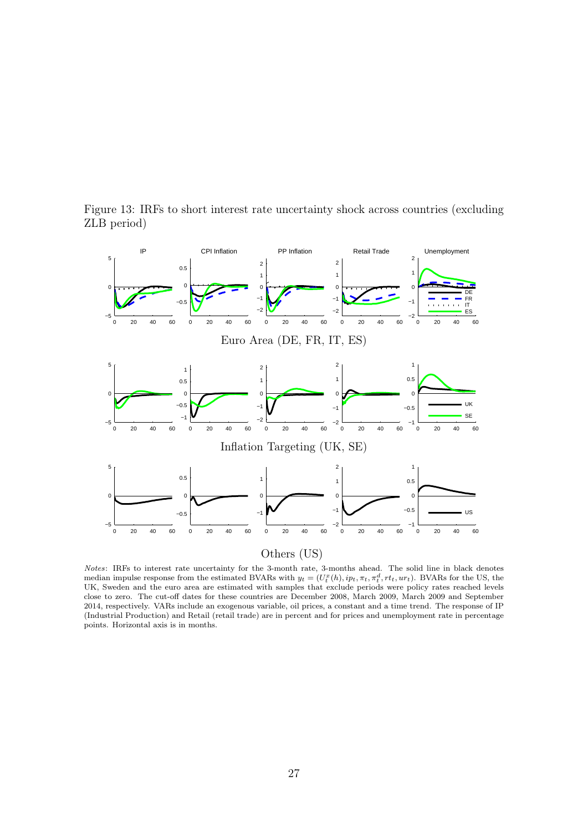

<span id="page-30-0"></span>Figure 13: IRFs to short interest rate uncertainty shock across countries (excluding ZLB period)

Notes: IRFs to interest rate uncertainty for the 3-month rate, 3-months ahead. The solid line in black denotes median impulse response from the estimated BVARs with  $y_t = (U_t^x(h), ip_t, \pi_t, \pi_t^d, rt_t, ur_t)$ . BVARs for the US, the UK, Sweden and the euro area are estimated with samples that exclude periods were policy rates reached levels close to zero. The cut-off dates for these countries are December 2008, March 2009, March 2009 and September 2014, respectively. VARs include an exogenous variable, oil prices, a constant and a time trend. The response of IP (Industrial Production) and Retail (retail trade) are in percent and for prices and unemployment rate in percentage points. Horizontal axis is in months.